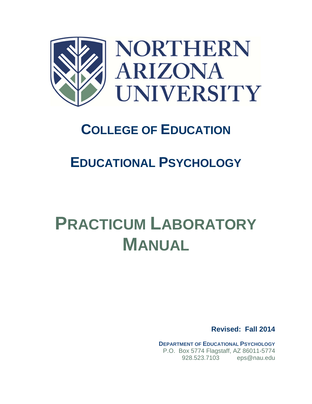

# **COLLEGE OF EDUCATION**

# **EDUCATIONAL PSYCHOLOGY**

# **PRACTICUM LABORATORY MANUAL**

**Revised: Fall 2014** 

**DEPARTMENT OF EDUCATIONAL PSYCHOLOGY** P.O. Box 5774 Flagstaff, AZ 86011-5774 928.523.7103 eps@nau.edu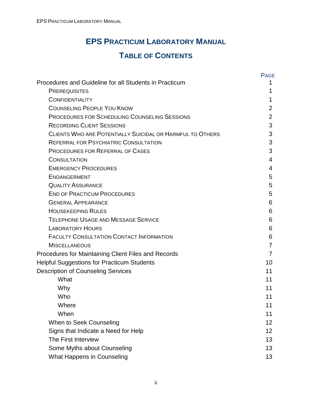## **EPS PRACTICUM LABORATORY MANUAL**

### **TABLE OF CONTENTS**

|                                                           | <b>PAGE</b>    |
|-----------------------------------------------------------|----------------|
| Procedures and Guideline for all Students in Practicum    | 1              |
| <b>PREREQUISITES</b>                                      | 1              |
| <b>CONFIDENTIALITY</b>                                    | 1              |
| <b>COUNSELING PEOPLE YOU KNOW</b>                         | 2              |
| <b>PROCEDURES FOR SCHEDULING COUNSELING SESSIONS</b>      | $\overline{2}$ |
| <b>RECORDING CLIENT SESSIONS</b>                          | 3              |
| CLIENTS WHO ARE POTENTIALLY SUICIDAL OR HARMFUL TO OTHERS | 3              |
| <b>REFERRAL FOR PSYCHIATRIC CONSULTATION</b>              | 3              |
| <b>PROCEDURES FOR REFERRAL OF CASES</b>                   | 3              |
| <b>CONSULTATION</b>                                       | 4              |
| <b>EMERGENCY PROCEDURES</b>                               | 4              |
| <b>ENDANGERMENT</b>                                       | 5              |
| <b>QUALITY ASSURANCE</b>                                  | 5              |
| <b>END OF PRACTICUM PROCEDURES</b>                        | 5              |
| <b>GENERAL APPEARANCE</b>                                 | 6              |
| <b>HOUSEKEEPING RULES</b>                                 | 6              |
| <b>TELEPHONE USAGE AND MESSAGE SERVICE</b>                | 6              |
| <b>LABORATORY HOURS</b>                                   | 6              |
| <b>FACULTY CONSULTATION CONTACT INFORMATION</b>           | 6              |
| <b>MISCELLANEOUS</b>                                      | 7              |
| Procedures for Maintaining Client Files and Records       | 7              |
| <b>Helpful Suggestions for Practicum Students</b>         | 10             |
| <b>Description of Counseling Services</b>                 | 11             |
| What                                                      | 11             |
| Why                                                       | 11             |
| Who                                                       | 11             |
| Where                                                     | 11             |
| When                                                      | 11             |
| When to Seek Counseling                                   | 12             |
| Signs that Indicate a Need for Help                       | 12             |
| The First Interview                                       | 13             |
| Some Myths about Counseling                               | 13             |
| What Happens in Counseling                                | 13             |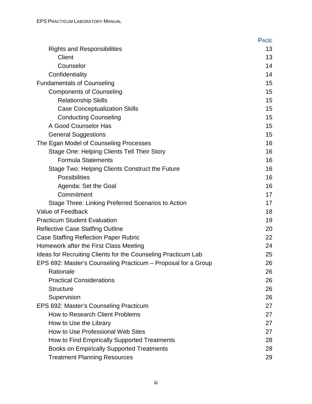|                                                               | <b>PAGE</b> |
|---------------------------------------------------------------|-------------|
| <b>Rights and Responsibilities</b>                            | 13          |
| <b>Client</b>                                                 | 13          |
| Counselor                                                     | 14          |
| Confidentiality                                               | 14          |
| <b>Fundamentals of Counseling</b>                             | 15          |
| <b>Components of Counseling</b>                               | 15          |
| <b>Relationship Skills</b>                                    | 15          |
| <b>Case Conceptualization Skills</b>                          | 15          |
| <b>Conducting Counseling</b>                                  | 15          |
| A Good Counselor Has                                          | 15          |
| <b>General Suggestions</b>                                    | 15          |
| The Egan Model of Counseling Processes                        | 16          |
| Stage One: Helping Clients Tell Their Story                   | 16          |
| <b>Formula Statements</b>                                     | 16          |
| Stage Two: Helping Clients Construct the Future               | 16          |
| <b>Possibilities</b>                                          | 16          |
| Agenda: Set the Goal                                          | 16          |
| Commitment                                                    | 17          |
| Stage Three: Linking Preferred Scenarios to Action            | 17          |
| Value of Feedback                                             | 18          |
| <b>Practicum Student Evaluation</b>                           | 19          |
| <b>Reflective Case Staffing Outline</b>                       | 20          |
| Case Staffing Reflection Paper Rubric                         | 22          |
| Homework after the First Class Meeting                        | 24          |
| Ideas for Recruiting Clients for the Counseling Practicum Lab | 25          |
| EPS 692: Master's Counseling Practicum - Proposal for a Group | 26          |
| Rationale                                                     | 26          |
| <b>Practical Considerations</b>                               | 26          |
| <b>Structure</b>                                              | 26          |
| Supervision                                                   | 26          |
| EPS 692: Master's Counseling Practicum                        | 27          |
| How to Research Client Problems                               | 27          |
| How to Use the Library                                        | 27          |
| How to Use Professional Web Sites                             | 27          |
| How to Find Empirically Supported Treatments                  | 28          |
| <b>Books on Empirically Supported Treatments</b>              | 28          |
| <b>Treatment Planning Resources</b>                           | 29          |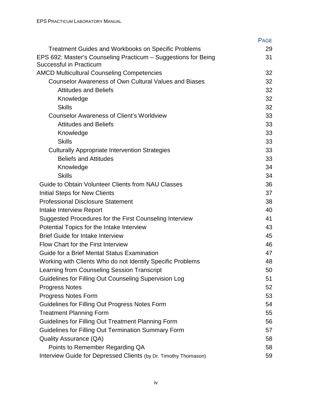|                                                                 | PAGE |
|-----------------------------------------------------------------|------|
| <b>Treatment Guides and Workbooks on Specific Problems</b>      | 29   |
| EPS 692: Master's Counseling Practicum - Suggestions for Being  | 31   |
| <b>Successful in Practicum</b>                                  |      |
| <b>AMCD Multicultural Counseling Competencies</b>               | 32   |
| <b>Counselor Awareness of Own Cultural Values and Biases</b>    | 32   |
| <b>Attitudes and Beliefs</b>                                    | 32   |
| Knowledge                                                       | 32   |
| <b>Skills</b>                                                   | 32   |
| <b>Counselor Awareness of Client's Worldview</b>                | 33   |
| <b>Attitudes and Beliefs</b>                                    | 33   |
| Knowledge                                                       | 33   |
| <b>Skills</b>                                                   | 33   |
| <b>Culturally Appropriate Intervention Strategies</b>           | 33   |
| <b>Beliefs and Attitudes</b>                                    | 33   |
| Knowledge                                                       | 34   |
| <b>Skills</b>                                                   | 34   |
| Guide to Obtain Volunteer Clients from NAU Classes              | 36   |
| Initial Steps for New Clients                                   | 37   |
| <b>Professional Disclosure Statement</b>                        | 38   |
| Intake Interview Report                                         | 40   |
| Suggested Procedures for the First Counseling Interview         | 41   |
| Potential Topics for the Intake Interview                       | 43   |
| <b>Brief Guide for Intake Interview</b>                         | 45   |
| Flow Chart for the First Interview                              | 46   |
| Guide for a Brief Mental Status Examination                     | 47   |
| Working with Clients Who do not Identify Specific Problems      | 48   |
| Learning from Counseling Session Transcript                     | 50   |
| Guidelines for Filling Out Counseling Supervision Log           | 51   |
| <b>Progress Notes</b>                                           | 52   |
| <b>Progress Notes Form</b>                                      | 53   |
| Guidelines for Filling Out Progress Notes Form                  | 54   |
| <b>Treatment Planning Form</b>                                  | 55   |
| Guidelines for Filling Out Treatment Planning Form              | 56   |
| Guidelines for Filling Out Termination Summary Form             | 57   |
| <b>Quality Assurance (QA)</b>                                   | 58   |
| Points to Remember Regarding QA                                 | 58   |
| Interview Guide for Depressed Clients (by Dr. Timothy Thomason) | 59   |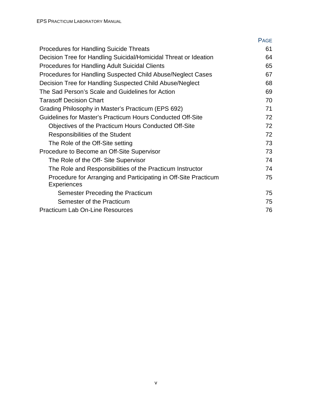|                                                                                       | <b>PAGE</b> |
|---------------------------------------------------------------------------------------|-------------|
| <b>Procedures for Handling Suicide Threats</b>                                        | 61          |
| Decision Tree for Handling Suicidal/Homicidal Threat or Ideation                      | 64          |
| <b>Procedures for Handling Adult Suicidal Clients</b>                                 | 65          |
| Procedures for Handling Suspected Child Abuse/Neglect Cases                           | 67          |
| Decision Tree for Handling Suspected Child Abuse/Neglect                              | 68          |
| The Sad Person's Scale and Guidelines for Action                                      | 69          |
| <b>Tarasoff Decision Chart</b>                                                        | 70          |
| Grading Philosophy in Master's Practicum (EPS 692)                                    | 71          |
| Guidelines for Master's Practicum Hours Conducted Off-Site                            | 72          |
| Objectives of the Practicum Hours Conducted Off-Site                                  | 72          |
| <b>Responsibilities of the Student</b>                                                | 72          |
| The Role of the Off-Site setting                                                      | 73          |
| Procedure to Become an Off-Site Supervisor                                            | 73          |
| The Role of the Off- Site Supervisor                                                  | 74          |
| The Role and Responsibilities of the Practicum Instructor                             | 74          |
| Procedure for Arranging and Participating in Off-Site Practicum<br><b>Experiences</b> | 75          |
| Semester Preceding the Practicum                                                      | 75          |
| Semester of the Practicum                                                             | 75          |
| <b>Practicum Lab On-Line Resources</b>                                                | 76          |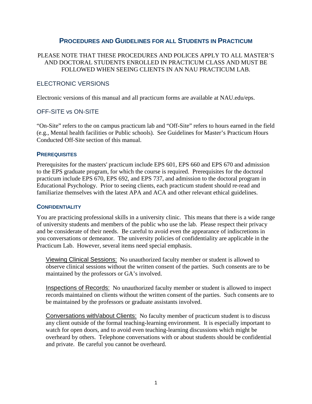#### **PROCEDURES AND GUIDELINES FOR ALL STUDENTS IN PRACTICUM**

#### PLEASE NOTE THAT THESE PROCEDURES AND POLICES APPLY TO ALL MASTER'S AND DOCTORAL STUDENTS ENROLLED IN PRACTICUM CLASS AND MUST BE FOLLOWED WHEN SEEING CLIENTS IN AN NAU PRACTICUM LAB.

#### ELECTRONIC VERSIONS

Electronic versions of this manual and all practicum forms are available at NAU.edu/eps.

#### OFF-SITE vs ON-SITE

"On-Site" refers to the on campus practicum lab and "Off-Site" refers to hours earned in the field (e.g., Mental health facilities or Public schools). See Guidelines for Master's Practicum Hours Conducted Off-Site section of this manual.

#### **PREREQUISITES**

Prerequisites for the masters' practicum include EPS 601, EPS 660 and EPS 670 and admission to the EPS graduate program, for which the course is required. Prerequisites for the doctoral practicum include EPS 670, EPS 692, and EPS 737, and admission to the doctoral program in Educational Psychology. Prior to seeing clients, each practicum student should re-read and familiarize themselves with the latest APA and ACA and other relevant ethical guidelines.

#### **CONFIDENTIALITY**

You are practicing professional skills in a university clinic. This means that there is a wide range of university students and members of the public who use the lab. Please respect their privacy and be considerate of their needs. Be careful to avoid even the appearance of indiscretions in you conversations or demeanor. The university policies of confidentiality are applicable in the Practicum Lab. However, several items need special emphasis.

Viewing Clinical Sessions: No unauthorized faculty member or student is allowed to observe clinical sessions without the written consent of the parties. Such consents are to be maintained by the professors or GA's involved.

Inspections of Records: No unauthorized faculty member or student is allowed to inspect records maintained on clients without the written consent of the parties. Such consents are to be maintained by the professors or graduate assistants involved.

Conversations with/about Clients: No faculty member of practicum student is to discuss any client outside of the formal teaching-learning environment. It is especially important to watch for open doors, and to avoid even teaching-learning discussions which might be overheard by others. Telephone conversations with or about students should be confidential and private. Be careful you cannot be overheard.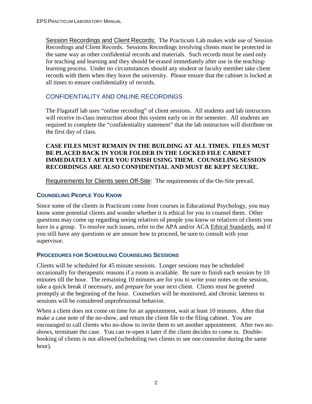Session Recordings and Client Records: The Practicum Lab makes wide use of Session Recordings and Client Records. Sessions Recordings involving clients must be protected in the same way as other confidential records and materials. Such records must be used only for teaching and learning and they should be erased immediately after use in the teachinglearning process. Under no circumstances should any student or faculty member take client records with them when they leave the university. Please ensure that the cabinet is locked at all times to ensure confidentiality of records.

#### CONFIDENTIALITY AND ONLINE RECORDINGS

The Flagstaff lab uses "online recording" of client sessions. All students and lab instructors will receive in-class instruction about this system early on in the semester. All students are required to complete the "confidentiality statement" that the lab instructors will distribute on the first day of class.

#### **CASE FILES MUST REMAIN IN THE BUILDING AT ALL TIMES. FILES MUST BE PLACED BACK IN YOUR FOLDER IN THE LOCKED FILE CABINET IMMEDIATELY AFTER YOU FINISH USING THEM. COUNSELING SESSION RECORDINGS ARE ALSO CONFIDENTIAL AND MUST BE KEPT SECURE.**

Requirements for Clients seen Off-Site: The requirements of the On-Site prevail.

#### **COUNSELING PEOPLE YOU KNOW**

Since some of the clients in Practicum come from courses in Educational Psychology, you may know some potential clients and wonder whether it is ethical for you to counsel them. Other questions may come up regarding seeing relatives of people you know or relatives of clients you have in a group. To resolve such issues, refer to the APA and/or ACA Ethical Standards, and if you still have any questions or are unsure how to proceed, be sure to consult with your supervisor.

#### **PROCEDURES FOR SCHEDULING COUNSELING SESSIONS**

Clients will be scheduled for 45 minute sessions. Longer sessions may be scheduled occasionally for therapeutic reasons if a room is available. Be sure to finish each session by 10 minutes till the hour. The remaining 10 minutes are for you to write your notes on the session, take a quick break if necessary, and prepare for your next client. Clients must be greeted promptly at the beginning of the hour. Counselors will be monitored, and chronic lateness to sessions will be considered unprofessional behavior.

When a client does not come on time for an appointment, wait at least 10 minutes. After that make a case note of the no-show, and return the client file to the filing cabinet. You are encouraged to call clients who no-show to invite them to set another appointment. After two noshows, terminate the case. You can re-open it later if the client decides to come in. Doublebooking of clients is not allowed (scheduling two clients to see one counselor during the same hour).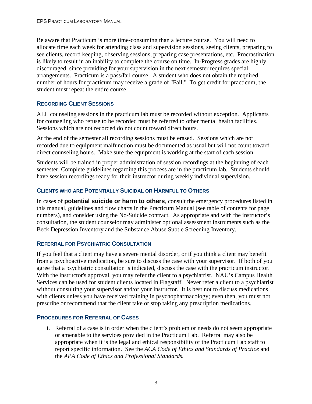Be aware that Practicum is more time-consuming than a lecture course. You will need to allocate time each week for attending class and supervision sessions, seeing clients, preparing to see clients, record keeping, observing sessions, preparing case presentations, etc. Procrastination is likely to result in an inability to complete the course on time. In-Progress grades are highly discouraged, since providing for your supervision in the next semester requires special arrangements. Practicum is a pass/fail course. A student who does not obtain the required number of hours for practicum may receive a grade of "Fail." To get credit for practicum, the student must repeat the entire course.

#### **RECORDING CLIENT SESSIONS**

ALL counseling sessions in the practicum lab must be recorded without exception. Applicants for counseling who refuse to be recorded must be referred to other mental health facilities. Sessions which are not recorded do not count toward direct hours.

At the end of the semester all recording sessions must be erased. Sessions which are not recorded due to equipment malfunction must be documented as usual but will not count toward direct counseling hours. Make sure the equipment is working at the start of each session.

Students will be trained in proper administration of session recordings at the beginning of each semester. Complete guidelines regarding this process are in the practicum lab. Students should have session recordings ready for their instructor during weekly individual supervision.

#### **CLIENTS WHO ARE POTENTIALLY SUICIDAL OR HARMFUL TO OTHERS**

In cases of **potential suicide or harm to others**, consult the emergency procedures listed in this manual, guidelines and flow charts in the Practicum Manual (see table of contents for page numbers), and consider using the No-Suicide contract. As appropriate and with the instructor's consultation, the student counselor may administer optional assessment instruments such as the Beck Depression Inventory and the Substance Abuse Subtle Screening Inventory.

#### **REFERRAL FOR PSYCHIATRIC CONSULTATION**

If you feel that a client may have a severe mental disorder, or if you think a client may benefit from a psychoactive medication, be sure to discuss the case with your supervisor. If both of you agree that a psychiatric consultation is indicated, discuss the case with the practicum instructor. With the instructor's approval, you may refer the client to a psychiatrist. NAU's Campus Health Services can be used for student clients located in Flagstaff. Never refer a client to a psychiatrist without consulting your supervisor and/or your instructor. It is best not to discuss medications with clients unless you have received training in psychopharmacology; even then, you must not prescribe or recommend that the client take or stop taking any prescription medications.

#### **PROCEDURES FOR REFERRAL OF CASES**

1. Referral of a case is in order when the client's problem or needs do not seem appropriate or amenable to the services provided in the Practicum Lab. Referral may also be appropriate when it is the legal and ethical responsibility of the Practicum Lab staff to report specific information. See the *ACA Code of Ethics and Standards of Practice* and the *APA Code of Ethics and Professional Standards.*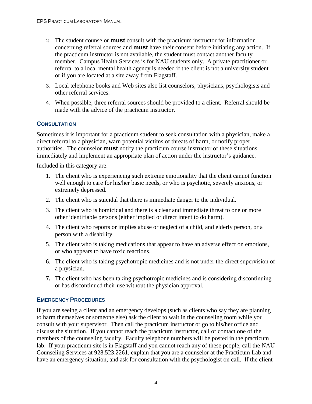- 2. The student counselor **must** consult with the practicum instructor for information concerning referral sources and **must** have their consent before initiating any action. If the practicum instructor is not available, the student must contact another faculty member. Campus Health Services is for NAU students only. A private practitioner or referral to a local mental health agency is needed if the client is not a university student or if you are located at a site away from Flagstaff.
- 3. Local telephone books and Web sites also list counselors, physicians, psychologists and other referral services.
- 4. When possible, three referral sources should be provided to a client. Referral should be made with the advice of the practicum instructor.

#### **CONSULTATION**

Sometimes it is important for a practicum student to seek consultation with a physician, make a direct referral to a physician, warn potential victims of threats of harm, or notify proper authorities. The counselor **must** notify the practicum course instructor of these situations immediately and implement an appropriate plan of action under the instructor's guidance.

Included in this category are:

- 1. The client who is experiencing such extreme emotionality that the client cannot function well enough to care for his/her basic needs, or who is psychotic, severely anxious, or extremely depressed.
- 2. The client who is suicidal that there is immediate danger to the individual.
- 3. The client who is homicidal and there is a clear and immediate threat to one or more other identifiable persons (either implied or direct intent to do harm).
- 4. The client who reports or implies abuse or neglect of a child, and elderly person, or a person with a disability.
- 5. The client who is taking medications that appear to have an adverse effect on emotions, or who appears to have toxic reactions.
- 6. The client who is taking psychotropic medicines and is not under the direct supervision of a physician.
- **7.** The client who has been taking psychotropic medicines and is considering discontinuing or has discontinued their use without the physician approval.

#### **EMERGENCY PROCEDURES**

If you are seeing a client and an emergency develops (such as clients who say they are planning to harm themselves or someone else) ask the client to wait in the counseling room while you consult with your supervisor. Then call the practicum instructor or go to his/her office and discuss the situation. If you cannot reach the practicum instructor, call or contact one of the members of the counseling faculty. Faculty telephone numbers will be posted in the practicum lab. If your practicum site is in Flagstaff and you cannot reach any of these people, call the NAU Counseling Services at 928.523.2261, explain that you are a counselor at the Practicum Lab and have an emergency situation, and ask for consultation with the psychologist on call. If the client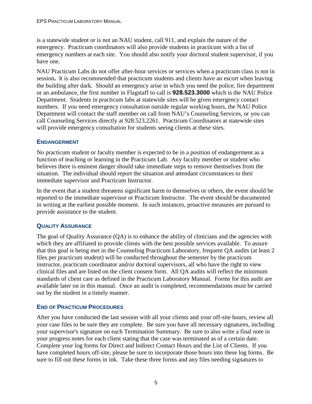is a statewide student or is not an NAU student, call 911, and explain the nature of the emergency. Practicum coordinators will also provide students in practicum with a list of emergency numbers at each site. You should also notify your doctoral student supervisor, if you have one.

NAU Practicum Labs do not offer after-hour services or services when a practicum class is not in session**.** It is also recommended that practicum students and clients have an escort when leaving the building after dark. Should an emergency arise in which you need the police, fire department or an ambulance, the first number in Flagstaff to call is **928.523.3000** which is the NAU Police Department. Students in practicum labs at statewide sites will be given emergency contact numbers. If you need emergency consultation outside regular working hours, the NAU Police Department will contact the staff member on call from NAU's Counseling Services, or you can call Counseling Services directly at 928.523.2261. Practicum Coordinators at statewide sites will provide emergency consultation for students seeing clients at these sites.

#### **ENDANGERMENT**

No practicum student or faculty member is expected to be in a position of endangerment as a function of teaching or learning in the Practicum Lab. Any faculty member or student who believes there is eminent danger should take immediate steps to remove themselves from the situation. The individual should report the situation and attendant circumstances to their immediate supervisor and Practicum Instructor.

In the event that a student threatens significant harm to themselves or others, the event should be reported to the immediate supervisor or Practicum Instructor. The event should be documented in writing at the earliest possible moment. In such instances, proactive measures are pursued to provide assistance to the student.

#### **QUALITY ASSURANCE**

The goal of Quality Assurance (QA) is to enhance the ability of clinicians and the agencies with which they are affiliated to provide clients with the best possible services available. To assure that this goal is being met in the Counseling Practicum Laboratory, frequent QA audits (at least 2 files per practicum student) will be conducted throughout the semester by the practicum instructor, practicum coordinator and/or doctoral supervisors, all who have the right to view clinical files and are listed on the client consent form. All QA audits will reflect the minimum standards of client care as defined in the Practicum Laboratory Manual. Forms for this audit are available later on in this manual. Once an audit is completed, recommendations must be carried out by the student in a timely manner.

#### **END OF PRACTICUM PROCEDURES**

After you have conducted the last session with all your clients and your off-site hours, review all your case files to be sure they are complete. Be sure you have all necessary signatures, including your supervisor's signature on each Termination Summary. Be sure to also write a final note in your progress notes for each client stating that the case was terminated as of a certain date. Complete your log forms for Direct and Indirect Contact Hours and the List of Clients. If you have completed hours off-site, please be sure to incorporate those hours into these log forms. Be sure to fill out these forms in ink. Take these three forms and any files needing signatures to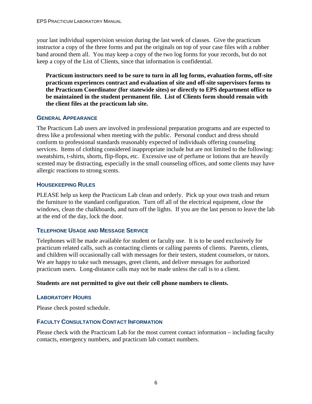your last individual supervision session during the last week of classes. Give the practicum instructor a copy of the three forms and put the originals on top of your case files with a rubber band around them all. You may keep a copy of the two log forms for your records, but do not keep a copy of the List of Clients, since that information is confidential.

**Practicum instructors need to be sure to turn in all log forms, evaluation forms, off-site practicum experiences contract and evaluation of site and off-site supervisors forms to the Practicum Coordinator (for statewide sites) or directly to EPS department office to be maintained in the student permanent file. List of Clients form should remain with the client files at the practicum lab site.** 

#### **GENERAL APPEARANCE**

The Practicum Lab users are involved in professional preparation programs and are expected to dress like a professional when meeting with the public. Personal conduct and dress should conform to professional standards reasonably expected of individuals offering counseling services. Items of clothing considered inappropriate include but are not limited to the following: sweatshirts, t-shirts, shorts, flip-flops, etc. Excessive use of perfume or lotions that are heavily scented may be distracting, especially in the small counseling offices, and some clients may have allergic reactions to strong scents.

#### **HOUSEKEEPING RULES**

PLEASE help us keep the Practicum Lab clean and orderly. Pick up your own trash and return the furniture to the standard configuration. Turn off all of the electrical equipment, close the windows, clean the chalkboards, and turn off the lights. If you are the last person to leave the lab at the end of the day, lock the door.

#### **TELEPHONE USAGE AND MESSAGE SERVICE**

Telephones will be made available for student or faculty use. It is to be used exclusively for practicum related calls, such as contacting clients or calling parents of clients. Parents, clients, and children will occasionally call with messages for their testers, student counselors, or tutors. We are happy to take such messages, greet clients, and deliver messages for authorized practicum users. Long-distance calls may not be made unless the call is to a client.

#### **Students are not permitted to give out their cell phone numbers to clients.**

#### **LABORATORY HOURS**

Please check posted schedule.

#### **FACULTY CONSULTATION CONTACT INFORMATION**

Please check with the Practicum Lab for the most current contact information – including faculty contacts, emergency numbers, and practicum lab contact numbers.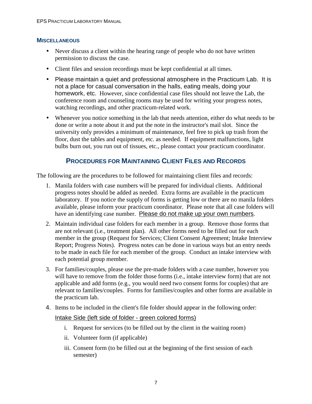#### **MISCELLANEOUS**

- Never discuss a client within the hearing range of people who do not have written permission to discuss the case.
- Client files and session recordings must be kept confidential at all times.
- Please maintain a quiet and professional atmosphere in the Practicum Lab. It is not a place for casual conversation in the halls, eating meals, doing your homework, etc. However, since confidential case files should not leave the Lab, the conference room and counseling rooms may be used for writing your progress notes, watching recordings, and other practicum-related work.
- Whenever you notice something in the lab that needs attention, either do what needs to be done or write a note about it and put the note in the instructor's mail slot. Since the university only provides a minimum of maintenance, feel free to pick up trash from the floor, dust the tables and equipment, etc. as needed. If equipment malfunctions, light bulbs burn out, you run out of tissues, etc., please contact your practicum coordinator.

#### **PROCEDURES FOR MAINTAINING CLIENT FILES AND RECORDS**

The following are the procedures to be followed for maintaining client files and records:

- 1. Manila folders with case numbers will be prepared for individual clients. Additional progress notes should be added as needed. Extra forms are available in the practicum laboratory. If you notice the supply of forms is getting low or there are no manila folders available, please inform your practicum coordinator. Please note that all case folders will have an identifying case number. Please do not make up your own numbers.
- 2. Maintain individual case folders for each member in a group. Remove those forms that are not relevant (i.e., treatment plan). All other forms need to be filled out for each member in the group (Request for Services; Client Consent Agreement; Intake Interview Report; Progress Notes). Progress notes can be done in various ways but an entry needs to be made in each file for each member of the group. Conduct an intake interview with each potential group member.
- 3. For families/couples, please use the pre-made folders with a case number, however you will have to remove from the folder those forms (i.e., intake interview form) that are not applicable and add forms (e.g., you would need two consent forms for couples) that are relevant to families/couples. Forms for families/couples and other forms are available in the practicum lab.
- 4. Items to be included in the client's file folder should appear in the following order:

#### Intake Side (left side of folder - green colored forms)

- i. Request for services (to be filled out by the client in the waiting room)
- ii. Volunteer form (if applicable)
- iii. Consent form (to be filled out at the beginning of the first session of each semester)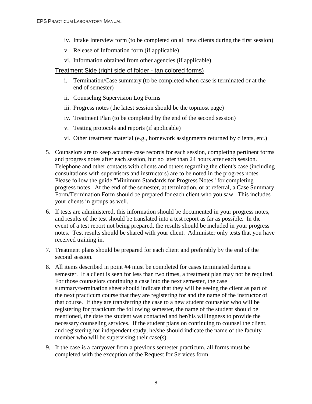- iv. Intake Interview form (to be completed on all new clients during the first session)
- v. Release of Information form (if applicable)
- vi. Information obtained from other agencies (if applicable)

#### Treatment Side (right side of folder - tan colored forms)

- i. Termination/Case summary (to be completed when case is terminated or at the end of semester)
- ii. Counseling Supervision Log Forms
- iii. Progress notes (the latest session should be the topmost page)
- iv. Treatment Plan (to be completed by the end of the second session)
- v. Testing protocols and reports (if applicable)
- vi. Other treatment material (e.g., homework assignments returned by clients, etc.)
- 5. Counselors are to keep accurate case records for each session, completing pertinent forms and progress notes after each session, but no later than 24 hours after each session. Telephone and other contacts with clients and others regarding the client's case (including consultations with supervisors and instructors) are to be noted in the progress notes. Please follow the guide "Minimum Standards for Progress Notes" for completing progress notes. At the end of the semester, at termination, or at referral, a Case Summary Form/Termination Form should be prepared for each client who you saw. This includes your clients in groups as well.
- 6. If tests are administered, this information should be documented in your progress notes, and results of the test should be translated into a test report as far as possible. In the event of a test report not being prepared, the results should be included in your progress notes. Test results should be shared with your client. Administer only tests that you have received training in.
- 7. Treatment plans should be prepared for each client and preferably by the end of the second session.
- 8. All items described in point #4 must be completed for cases terminated during a semester. If a client is seen for less than two times, a treatment plan may not be required. For those counselors continuing a case into the next semester, the case summary/termination sheet should indicate that they will be seeing the client as part of the next practicum course that they are registering for and the name of the instructor of that course. If they are transferring the case to a new student counselor who will be registering for practicum the following semester, the name of the student should be mentioned, the date the student was contacted and her/his willingness to provide the necessary counseling services. If the student plans on continuing to counsel the client, and registering for independent study, he/she should indicate the name of the faculty member who will be supervising their case(s).
- 9. If the case is a carryover from a previous semester practicum, all forms must be completed with the exception of the Request for Services form.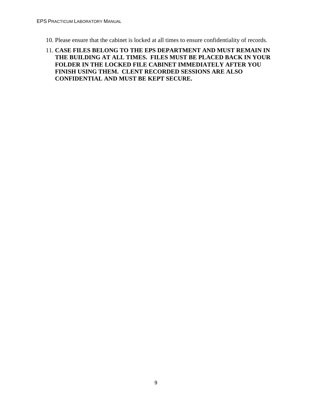- 10. Please ensure that the cabinet is locked at all times to ensure confidentiality of records.
- 11. **CASE FILES BELONG TO THE EPS DEPARTMENT AND MUST REMAIN IN THE BUILDING AT ALL TIMES. FILES MUST BE PLACED BACK IN YOUR FOLDER IN THE LOCKED FILE CABINET IMMEDIATELY AFTER YOU FINISH USING THEM. CLENT RECORDED SESSIONS ARE ALSO CONFIDENTIAL AND MUST BE KEPT SECURE.**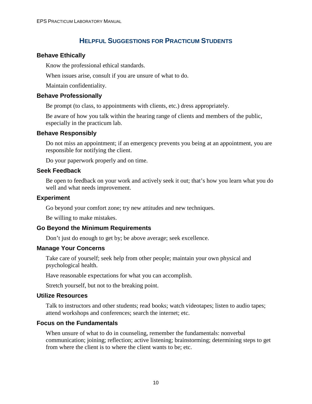#### **HELPFUL SUGGESTIONS FOR PRACTICUM STUDENTS**

#### **Behave Ethically**

Know the professional ethical standards.

When issues arise, consult if you are unsure of what to do.

Maintain confidentiality.

#### **Behave Professionally**

Be prompt (to class, to appointments with clients, etc.) dress appropriately.

Be aware of how you talk within the hearing range of clients and members of the public, especially in the practicum lab.

#### **Behave Responsibly**

Do not miss an appointment; if an emergency prevents you being at an appointment, you are responsible for notifying the client.

Do your paperwork properly and on time.

#### **Seek Feedback**

Be open to feedback on your work and actively seek it out; that's how you learn what you do well and what needs improvement.

#### **Experiment**

Go beyond your comfort zone; try new attitudes and new techniques.

Be willing to make mistakes.

#### **Go Beyond the Minimum Requirements**

Don't just do enough to get by; be above average; seek excellence.

#### **Manage Your Concerns**

Take care of yourself; seek help from other people; maintain your own physical and psychological health.

Have reasonable expectations for what you can accomplish.

Stretch yourself, but not to the breaking point.

#### **Utilize Resources**

Talk to instructors and other students; read books; watch videotapes; listen to audio tapes; attend workshops and conferences; search the internet; etc.

#### **Focus on the Fundamentals**

When unsure of what to do in counseling, remember the fundamentals: nonverbal communication; joining; reflection; active listening; brainstorming; determining steps to get from where the client is to where the client wants to be; etc.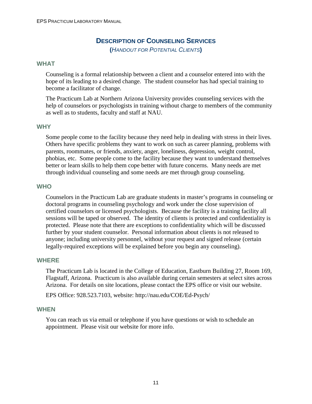#### **DESCRIPTION OF COUNSELING SERVICES**

**(**HANDOUT FOR POTENTIAL CLIENTS**)** 

#### **WHAT**

Counseling is a formal relationship between a client and a counselor entered into with the hope of its leading to a desired change. The student counselor has had special training to become a facilitator of change.

The Practicum Lab at Northern Arizona University provides counseling services with the help of counselors or psychologists in training without charge to members of the community as well as to students, faculty and staff at NAU.

#### **WHY**

Some people come to the facility because they need help in dealing with stress in their lives. Others have specific problems they want to work on such as career planning, problems with parents, roommates, or friends, anxiety, anger, loneliness, depression, weight control, phobias, etc. Some people come to the facility because they want to understand themselves better or learn skills to help them cope better with future concerns. Many needs are met through individual counseling and some needs are met through group counseling.

#### **WHO**

Counselors in the Practicum Lab are graduate students in master's programs in counseling or doctoral programs in counseling psychology and work under the close supervision of certified counselors or licensed psychologists. Because the facility is a training facility all sessions will be taped or observed. The identity of clients is protected and confidentiality is protected. Please note that there are exceptions to confidentiality which will be discussed further by your student counselor. Personal information about clients is not released to anyone; including university personnel, without your request and signed release (certain legally-required exceptions will be explained before you begin any counseling).

#### **WHERE**

The Practicum Lab is located in the College of Education, Eastburn Building 27, Room 169, Flagstaff, Arizona. Practicum is also available during certain semesters at select sites across Arizona. For details on site locations, please contact the EPS office or visit our website.

EPS Office: 928.523.7103, website: http://nau.edu/COE/Ed-Psych/

#### **WHEN**

You can reach us via email or telephone if you have questions or wish to schedule an appointment. Please visit our website for more info.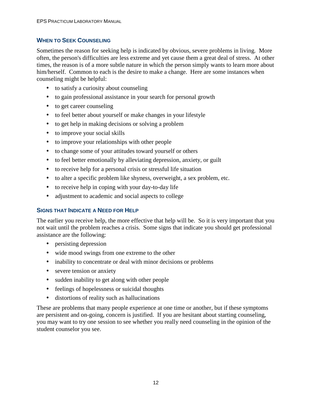#### **WHEN TO SEEK COUNSELING**

Sometimes the reason for seeking help is indicated by obvious, severe problems in living. More often, the person's difficulties are less extreme and yet cause them a great deal of stress. At other times, the reason is of a more subtle nature in which the person simply wants to learn more about him/herself. Common to each is the desire to make a change. Here are some instances when counseling might be helpful:

- to satisfy a curiosity about counseling
- to gain professional assistance in your search for personal growth
- to get career counseling
- to feel better about yourself or make changes in your lifestyle
- to get help in making decisions or solving a problem
- to improve your social skills
- to improve your relationships with other people
- to change some of your attitudes toward yourself or others
- to feel better emotionally by alleviating depression, anxiety, or guilt
- to receive help for a personal crisis or stressful life situation
- to alter a specific problem like shyness, overweight, a sex problem, etc.
- to receive help in coping with your day-to-day life
- adjustment to academic and social aspects to college

#### **SIGNS THAT INDICATE A NEED FOR HELP**

The earlier you receive help, the more effective that help will be. So it is very important that you not wait until the problem reaches a crisis. Some signs that indicate you should get professional assistance are the following:

- persisting depression
- wide mood swings from one extreme to the other
- inability to concentrate or deal with minor decisions or problems
- severe tension or anxiety
- sudden inability to get along with other people
- feelings of hopelessness or suicidal thoughts
- distortions of reality such as hallucinations

These are problems that many people experience at one time or another, but if these symptoms are persistent and on-going, concern is justified. If you are hesitant about starting counseling, you may want to try one session to see whether you really need counseling in the opinion of the student counselor you see.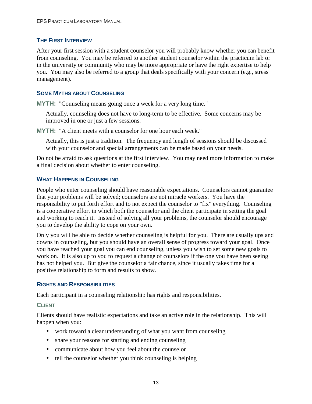#### **THE FIRST INTERVIEW**

After your first session with a student counselor you will probably know whether you can benefit from counseling. You may be referred to another student counselor within the practicum lab or in the university or community who may be more appropriate or have the right expertise to help you. You may also be referred to a group that deals specifically with your concern (e.g., stress management).

#### **SOME MYTHS ABOUT COUNSELING**

**MYTH:** "Counseling means going once a week for a very long time."

Actually, counseling does not have to long-term to be effective. Some concerns may be improved in one or just a few sessions.

**MYTH:** "A client meets with a counselor for one hour each week."

Actually, this is just a tradition. The frequency and length of sessions should be discussed with your counselor and special arrangements can be made based on your needs.

Do not be afraid to ask questions at the first interview. You may need more information to make a final decision about whether to enter counseling.

#### **WHAT HAPPENS IN COUNSELING**

People who enter counseling should have reasonable expectations. Counselors cannot guarantee that your problems will be solved; counselors are not miracle workers. You have the responsibility to put forth effort and to not expect the counselor to "fix" everything. Counseling is a cooperative effort in which both the counselor and the client participate in setting the goal and working to reach it. Instead of solving all your problems, the counselor should encourage you to develop the ability to cope on your own.

Only you will be able to decide whether counseling is helpful for you. There are usually ups and downs in counseling, but you should have an overall sense of progress toward your goal. Once you have reached your goal you can end counseling, unless you wish to set some new goals to work on. It is also up to you to request a change of counselors if the one you have been seeing has not helped you. But give the counselor a fair chance, since it usually takes time for a positive relationship to form and results to show.

#### **RIGHTS AND RESPONSIBILITIES**

Each participant in a counseling relationship has rights and responsibilities.

#### **CLIENT**

Clients should have realistic expectations and take an active role in the relationship. This will happen when you:

- work toward a clear understanding of what you want from counseling
- share your reasons for starting and ending counseling
- communicate about how you feel about the counselor
- tell the counselor whether you think counseling is helping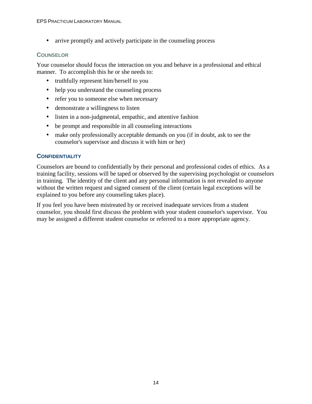• arrive promptly and actively participate in the counseling process

#### **COUNSELOR**

Your counselor should focus the interaction on you and behave in a professional and ethical manner. To accomplish this he or she needs to:

- truthfully represent him/herself to you
- help you understand the counseling process
- refer you to someone else when necessary
- demonstrate a willingness to listen
- listen in a non-judgmental, empathic, and attentive fashion
- be prompt and responsible in all counseling interactions
- make only professionally acceptable demands on you (if in doubt, ask to see the counselor's supervisor and discuss it with him or her)

#### **CONFIDENTIALITY**

Counselors are bound to confidentially by their personal and professional codes of ethics. As a training facility, sessions will be taped or observed by the supervising psychologist or counselors in training. The identity of the client and any personal information is not revealed to anyone without the written request and signed consent of the client (certain legal exceptions will be explained to you before any counseling takes place).

If you feel you have been mistreated by or received inadequate services from a student counselor, you should first discuss the problem with your student counselor's supervisor. You may be assigned a different student counselor or referred to a more appropriate agency.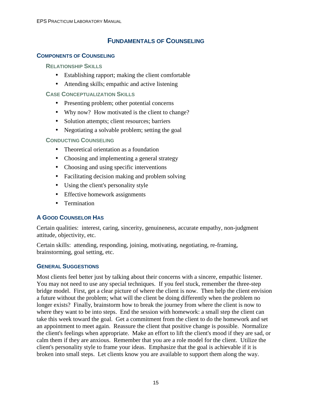#### **FUNDAMENTALS OF COUNSELING**

#### **COMPONENTS OF COUNSELING**

#### **RELATIONSHIP SKILLS**

- Establishing rapport; making the client comfortable
- Attending skills; empathic and active listening

#### **CASE CONCEPTUALIZATION SKILLS**

- Presenting problem; other potential concerns
- Why now? How motivated is the client to change?
- Solution attempts; client resources; barriers
- Negotiating a solvable problem; setting the goal

#### **CONDUCTING COUNSELING**

- Theoretical orientation as a foundation
- Choosing and implementing a general strategy
- Choosing and using specific interventions
- Facilitating decision making and problem solving
- Using the client's personality style
- Effective homework assignments
- Termination

#### **A GOOD COUNSELOR HAS**

Certain qualities: interest, caring, sincerity, genuineness, accurate empathy, non-judgment attitude, objectivity, etc.

Certain skills: attending, responding, joining, motivating, negotiating, re-framing, brainstorming, goal setting, etc.

#### **GENERAL SUGGESTIONS**

Most clients feel better just by talking about their concerns with a sincere, empathic listener. You may not need to use any special techniques. If you feel stuck, remember the three-step bridge model. First, get a clear picture of where the client is now. Then help the client envision a future without the problem; what will the client be doing differently when the problem no longer exists? Finally, brainstorm how to break the journey from where the client is now to where they want to be into steps. End the session with homework: a small step the client can take this week toward the goal. Get a commitment from the client to do the homework and set an appointment to meet again. Reassure the client that positive change is possible. Normalize the client's feelings when appropriate. Make an effort to lift the client's mood if they are sad, or calm them if they are anxious. Remember that you are a role model for the client. Utilize the client's personality style to frame your ideas. Emphasize that the goal is achievable if it is broken into small steps. Let clients know you are available to support them along the way.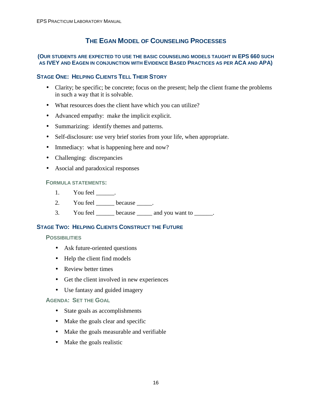#### **THE EGAN MODEL OF COUNSELING PROCESSES**

#### **(OUR STUDENTS ARE EXPECTED TO USE THE BASIC COUNSELING MODELS TAUGHT IN EPS 660 SUCH AS IVEY AND EAGEN IN CONJUNCTION WITH EVIDENCE BASED PRACTICES AS PER ACA AND APA)**

#### **STAGE ONE: HELPING CLIENTS TELL THEIR STORY**

- Clarity; be specific; be concrete; focus on the present; help the client frame the problems in such a way that it is solvable.
- What resources does the client have which you can utilize?
- Advanced empathy: make the implicit explicit.
- Summarizing: identify themes and patterns.
- Self-disclosure: use very brief stories from your life, when appropriate.
- Immediacy: what is happening here and now?
- Challenging: discrepancies
- Asocial and paradoxical responses

#### **FORMULA STATEMENTS:**

- 1. You feel \_\_\_\_\_\_\_.
- 2. You feel because .
- 3. You feel \_\_\_\_\_\_ because \_\_\_\_\_ and you want to \_\_\_\_\_\_.

#### **STAGE TWO: HELPING CLIENTS CONSTRUCT THE FUTURE**

#### **POSSIBILITIES**

- Ask future-oriented questions
- Help the client find models
- Review better times
- Get the client involved in new experiences
- Use fantasy and guided imagery

#### **AGENDA: SET THE GOAL**

- State goals as accomplishments
- Make the goals clear and specific
- Make the goals measurable and verifiable
- Make the goals realistic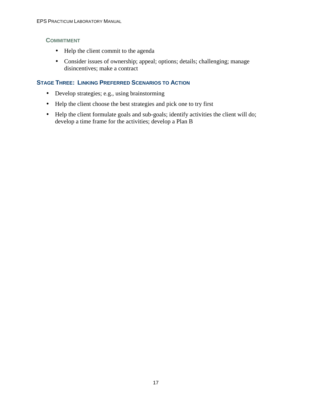#### **COMMITMENT**

- Help the client commit to the agenda
- Consider issues of ownership; appeal; options; details; challenging; manage disincentives; make a contract

#### **STAGE THREE: LINKING PREFERRED SCENARIOS TO ACTION**

- Develop strategies; e.g., using brainstorming
- Help the client choose the best strategies and pick one to try first
- Help the client formulate goals and sub-goals; identify activities the client will do; develop a time frame for the activities; develop a Plan B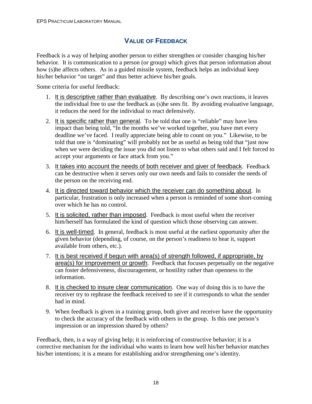#### **VALUE OF FEEDBACK**

Feedback is a way of helping another person to either strengthen or consider changing his/her behavior. It is communication to a person (or group) which gives that person information about how (s)he affects others. As in a guided missile system, feedback helps an individual keep his/her behavior "on target" and thus better achieve his/her goals.

Some criteria for useful feedback:

- 1. It is descriptive rather than evaluative. By describing one's own reactions, it leaves the individual free to use the feedback as (s)he sees fit. By avoiding evaluative language, it reduces the need for the individual to react defensively.
- 2. It is specific rather than general. To be told that one is "reliable" may have less impact than being told, "In the months we've worked together, you have met every deadline we've faced. I really appreciate being able to count on you." Likewise, to be told that one is "dominating" will probably not be as useful as being told that "just now when we were deciding the issue you did not listen to what others said and I felt forced to accept your arguments or face attack from you."
- 3. It takes into account the needs of both receiver and giver of feedback. Feedback can be destructive when it serves only our own needs and fails to consider the needs of the person on the receiving end.
- 4. It is directed toward behavior which the receiver can do something about. In particular, frustration is only increased when a person is reminded of some short-coming over which he has no control.
- 5. It is solicited, rather than imposed. Feedback is most useful when the receiver him/herself has formulated the kind of question which those observing can answer.
- 6. It is well-timed. In general, feedback is most useful at the earliest opportunity after the given behavior (depending, of course, on the person's readiness to hear it, support available from others, etc.).
- 7. It is best received if begun with area(s) of strength followed, if appropriate, by area(s) for improvement or growth. Feedback that focuses perpetually on the negative can foster defensiveness, discouragement, or hostility rather than openness to the information.
- 8. It is checked to insure clear communication. One way of doing this is to have the receiver try to rephrase the feedback received to see if it corresponds to what the sender had in mind.
- 9. When feedback is given in a training group, both giver and receiver have the opportunity to check the accuracy of the feedback with others in the group. Is this one person's impression or an impression shared by others?

Feedback, then, is a way of giving help; it is reinforcing of constructive behavior; it is a corrective mechanism for the individual who wants to learn how well his/her behavior matches his/her intentions; it is a means for establishing and/or strengthening one's identity.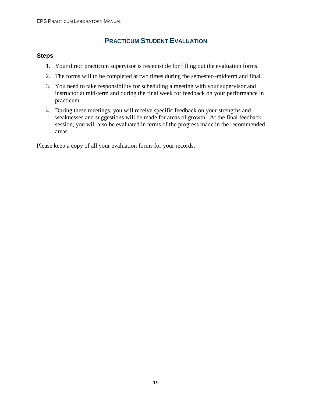#### **PRACTICUM STUDENT EVALUATION**

#### **Steps**

- 1. Your direct practicum supervisor is responsible for filling out the evaluation forms.
- 2. The forms will to be completed at two times during the semester--midterm and final.
- 3. You need to take responsibility for scheduling a meeting with your supervisor and instructor at mid-term and during the final week for feedback on your performance in practicum.
- 4. During these meetings, you will receive specific feedback on your strengths and weaknesses and suggestions will be made for areas of growth. At the final feedback session, you will also be evaluated in terms of the progress made in the recommended areas.

Please keep a copy of all your evaluation forms for your records.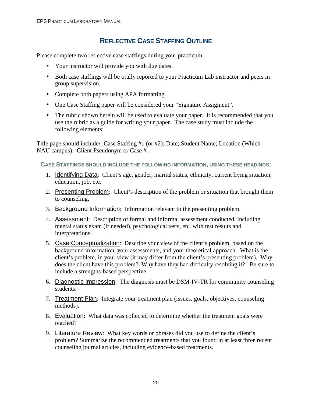#### **REFLECTIVE CASE STAFFING OUTLINE**

Please complete two reflective case staffings during your practicum.

- Your instructor will provide you with due dates.
- Both case staffings will be orally reported to your Practicum Lab instructor and peers in group supervision.
- Complete both papers using APA formatting.
- One Case Staffing paper will be considered your "Signature Assigment".
- The rubric shown herein will be used to evaluate your paper. It is recommended that you use the rubric as a guide for writing your paper. The case study must include the following elements:

Title page should include**:** Case Staffing #1 (or #2); Date; Student Name; Location (Which NAU campus): Client Pseudonym or Case #.

**CASE STAFFINGS SHOULD INCLUDE THE FOLLOWING INFORMATION, USING THESE HEADINGS:** 

- 1. Identifying Data: Client's age, gender, marital status, ethnicity, current living situation, education, job, etc.
- 2. Presenting Problem: Client's description of the problem or situation that brought them to counseling.
- 3. Background Information: Information relevant to the presenting problem.
- 4. Assessment: Description of formal and informal assessment conducted, including mental status exam (if needed), psychological tests, etc. with test results and interpretations.
- 5. Case Conceptualization: Describe your view of the client's problem, based on the background information, your assessments, and your theoretical approach. What is the client's problem, in your view (it may differ from the client's presenting problem). Why does the client have this problem? Why have they had difficulty resolving it? Be sure to include a strengths-based perspective.
- 6. Diagnostic Impression: The diagnosis must be DSM-IV-TR for community counseling students.
- 7. Treatment Plan: Integrate your treatment plan (issues, goals, objectives, counseling methods).
- 8. Evaluation: What data was collected to determine whether the treatment goals were reached?
- 9. Literature Review: What key words or phrases did you use to define the client's problem? Summarize the recommended treatments that you found in at least three recent counseling journal articles, including evidence-based treatments.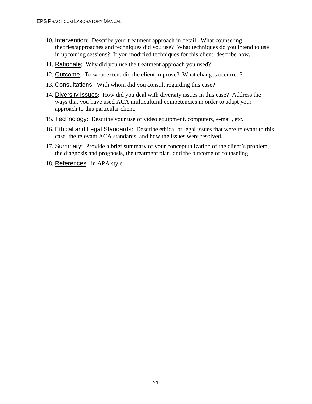- 10. Intervention: Describe your treatment approach in detail. What counseling theories/approaches and techniques did you use? What techniques do you intend to use in upcoming sessions? If you modified techniques for this client, describe how.
- 11. Rationale: Why did you use the treatment approach you used?
- 12. Outcome: To what extent did the client improve? What changes occurred?
- 13. Consultations: With whom did you consult regarding this case?
- 14. Diversity Issues: How did you deal with diversity issues in this case? Address the ways that you have used ACA multicultural competencies in order to adapt your approach to this particular client.
- 15. Technology: Describe your use of video equipment, computers, e-mail, etc.
- 16. Ethical and Legal Standards: Describe ethical or legal issues that were relevant to this case, the relevant ACA standards, and how the issues were resolved.
- 17. Summary: Provide a brief summary of your conceptualization of the client's problem, the diagnosis and prognosis, the treatment plan, and the outcome of counseling.
- 18. References: in APA style.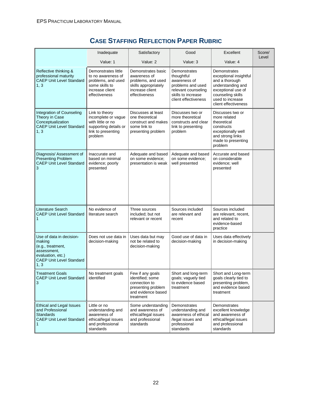|                                                                                                                                        | Inadequate                                                                                                            | Satisfactory                                                                                                         | Good                                                                                                                                 | Excellent                                                                                                                                                            | Score/ |
|----------------------------------------------------------------------------------------------------------------------------------------|-----------------------------------------------------------------------------------------------------------------------|----------------------------------------------------------------------------------------------------------------------|--------------------------------------------------------------------------------------------------------------------------------------|----------------------------------------------------------------------------------------------------------------------------------------------------------------------|--------|
|                                                                                                                                        | Value: 1                                                                                                              | Value: 2                                                                                                             | Value: 3                                                                                                                             | Value: 4                                                                                                                                                             | Level  |
| Reflective thinking &<br>professional maturity<br><b>CAEP Unit Level Standard</b><br>1, 3                                              | Demonstrates little<br>to no awareness of<br>problems, and used<br>some skills to<br>increase client<br>effectiveness | Demonstrates basic<br>awareness of<br>problems, and used<br>skills appropriately<br>increase client<br>effectiveness | Demonstrates<br>thoughtful<br>awareness of<br>problems and used<br>relevant counseling<br>skills to increase<br>client effectiveness | Demonstrates<br>exceptional insightful<br>and a thorough<br>understanding and<br>exceptional use of<br>counseling skills<br>used to increase<br>client effectiveness |        |
| Integration of Counseling<br>Theory in Case<br>Conceptualization<br><b>CAEP Unit Level Standard</b><br>1, 3                            | Link to theory<br>incomplete or vague<br>with little or no<br>supporting details or<br>link to presenting<br>problem  | Discusses at least<br>one theoretical<br>construct and makes<br>some link to<br>presenting problem                   | Discusses two or<br>more theoretical<br>constructs and clear<br>link to presenting<br>problem                                        | Discusses two or<br>more related<br>theoretical<br>constructs<br>exceptionally well<br>and strong links<br>made to presenting<br>problem                             |        |
| Diagnosis/ Assessment of<br><b>Presenting Problem</b><br><b>CAEP Unit Level Standard</b><br>3                                          | Inaccurate and<br>based on minimal<br>evidence; poorly<br>presented                                                   | Adequate and based<br>on some evidence:<br>presentation is weak                                                      | Adequate and based<br>on some evidence;<br>well presented                                                                            | Accurate and based<br>on considerable<br>evidence; well<br>presented                                                                                                 |        |
| Literature Search<br><b>CAEP Unit Level Standard</b><br>1                                                                              | No evidence of<br>literature search                                                                                   | Three sources<br>included; but not<br>relevant or recent                                                             | Sources included<br>are relevant and<br>recent                                                                                       | Sources included<br>are relevant, recent,<br>and related to<br>evidence-based<br>practice                                                                            |        |
| Use of data in decision-<br>making<br>(e.g., treatment,<br>assessment,<br>evaluation, etc.)<br><b>CAEP Unit Level Standard</b><br>1, 3 | Does not use data in<br>decision-making                                                                               | Uses data but may<br>not be related to<br>decision-making                                                            | Good use of data in<br>decision-making                                                                                               | Uses data effectively<br>in decision-making                                                                                                                          |        |
| <b>Treatment Goals</b><br><b>CAEP Unit Level Standard</b><br>3                                                                         | No treatment goals<br>identified                                                                                      | Few if any goals<br>identified; some<br>connection to<br>presenting problem<br>and evidence based<br>treatment       | Short and long-term<br>goals; vaguely tied<br>to evidence based<br>treatment                                                         | Short and Long-term<br>goals clearly tied to<br>presenting problem,<br>and evidence based<br>treatment                                                               |        |
| Ethical and Legal Issues<br>and Professional<br><b>Standards</b><br><b>CAEP Unit Level Standard</b><br>1                               | Little or no<br>understanding and<br>awareness of<br>ethical/legal issues<br>and professional<br>standards            | Some understanding<br>and awareness of<br>ethical/legal issues<br>and professional<br>standards                      | Demonstrates<br>understanding and<br>awareness of ethical<br>/legal issues and<br>professional<br>standards                          | Demonstrates<br>excellent knowledge<br>and awareness of<br>ethical/legal issues<br>and professional<br>standards                                                     |        |

#### **CASE STAFFING REFLECTION PAPER RUBRIC**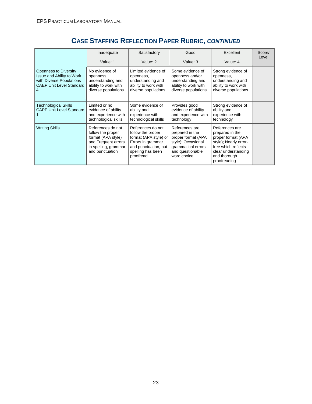|                                                                                                                               | Inadequate                                                                                                                      | Satisfactory                                                                                                                                   | Good                                                                                                                                   | Excellent                                                                                                                                                      | Score/<br>Level |
|-------------------------------------------------------------------------------------------------------------------------------|---------------------------------------------------------------------------------------------------------------------------------|------------------------------------------------------------------------------------------------------------------------------------------------|----------------------------------------------------------------------------------------------------------------------------------------|----------------------------------------------------------------------------------------------------------------------------------------------------------------|-----------------|
|                                                                                                                               | Value: 1                                                                                                                        | Value: 2                                                                                                                                       | Value: 3                                                                                                                               | Value: 4                                                                                                                                                       |                 |
| <b>Openness to Diversity</b><br>Issue and Ability to Work<br>with Diverse Populations<br><b>CAEP Unit Level Standard</b><br>4 | No evidence of<br>openness,<br>understanding and<br>ability to work with<br>diverse populations                                 | Limited evidence of<br>openness,<br>understanding and<br>ability to work with<br>diverse populations                                           | Some evidence of<br>openness and/or<br>understanding and<br>ability to work with<br>diverse populations                                | Strong evidence of<br>openness,<br>understanding and<br>ability to work with<br>diverse populations                                                            |                 |
| <b>Technological Skills</b><br><b>CAPE Unit Level Standard</b>                                                                | Limited or no<br>evidence of ability<br>and experience with<br>technological skills                                             | Some evidence of<br>ability and<br>experience with<br>technological skills                                                                     | Provides good<br>evidence of ability<br>and experience with<br>technology                                                              | Strong evidence of<br>ability and<br>experience with<br>technology                                                                                             |                 |
| <b>Writing Skills</b>                                                                                                         | References do not<br>follow the proper<br>format (APA style)<br>and Frequent errors<br>in spelling, grammar,<br>and punctuation | References do not<br>follow the proper<br>format (APA style) or<br>Errors in grammar<br>and punctuation, but<br>spelling has been<br>proofread | References are<br>prepared in the<br>proper format (APA<br>style); Occasional<br>grammatical errors<br>and questionable<br>word choice | References are<br>prepared in the<br>proper format (APA<br>style); Nearly error-<br>free which reflects<br>clear understanding<br>and thorough<br>proofreading |                 |

## **CASE STAFFING REFLECTION PAPER RUBRIC, CONTINUED**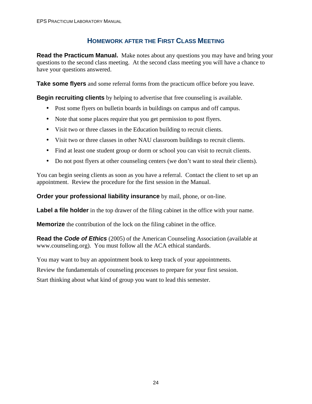#### **HOMEWORK AFTER THE FIRST CLASS MEETING**

**Read the Practicum Manual.** Make notes about any questions you may have and bring your questions to the second class meeting. At the second class meeting you will have a chance to have your questions answered.

**Take some flyers** and some referral forms from the practicum office before you leave.

**Begin recruiting clients** by helping to advertise that free counseling is available.

- Post some flyers on bulletin boards in buildings on campus and off campus.
- Note that some places require that you get permission to post flyers.
- Visit two or three classes in the Education building to recruit clients.
- Visit two or three classes in other NAU classroom buildings to recruit clients.
- Find at least one student group or dorm or school you can visit to recruit clients.
- Do not post flyers at other counseling centers (we don't want to steal their clients).

You can begin seeing clients as soon as you have a referral. Contact the client to set up an appointment. Review the procedure for the first session in the Manual.

**Order your professional liability insurance** by mail, phone, or on-line.

**Label a file holder** in the top drawer of the filing cabinet in the office with your name.

**Memorize** the contribution of the lock on the filing cabinet in the office.

**Read the Code of Ethics** (2005) of the American Counseling Association (available at www.counseling.org). You must follow all the ACA ethical standards.

You may want to buy an appointment book to keep track of your appointments.

Review the fundamentals of counseling processes to prepare for your first session.

Start thinking about what kind of group you want to lead this semester.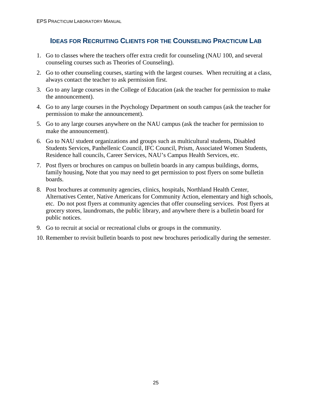#### **IDEAS FOR RECRUITING CLIENTS FOR THE COUNSELING PRACTICUM LAB**

- 1. Go to classes where the teachers offer extra credit for counseling (NAU 100, and several counseling courses such as Theories of Counseling).
- 2. Go to other counseling courses, starting with the largest courses. When recruiting at a class, always contact the teacher to ask permission first.
- 3. Go to any large courses in the College of Education (ask the teacher for permission to make the announcement).
- 4. Go to any large courses in the Psychology Department on south campus (ask the teacher for permission to make the announcement).
- 5. Go to any large courses anywhere on the NAU campus (ask the teacher for permission to make the announcement).
- 6. Go to NAU student organizations and groups such as multicultural students, Disabled Students Services, Panhellenic Council, IFC Council, Prism, Associated Women Students, Residence hall councils, Career Services, NAU's Campus Health Services, etc.
- 7. Post flyers or brochures on campus on bulletin boards in any campus buildings, dorms, family housing, Note that you may need to get permission to post flyers on some bulletin boards.
- 8. Post brochures at community agencies, clinics, hospitals, Northland Health Center, Alternatives Center, Native Americans for Community Action, elementary and high schools, etc. Do not post flyers at community agencies that offer counseling services. Post flyers at grocery stores, laundromats, the public library, and anywhere there is a bulletin board for public notices.
- 9. Go to recruit at social or recreational clubs or groups in the community.
- 10. Remember to revisit bulletin boards to post new brochures periodically during the semester.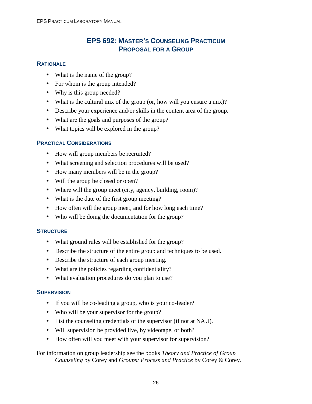#### **EPS 692: MASTER'S COUNSELING PRACTICUM PROPOSAL FOR A GROUP**

#### **RATIONALE**

- What is the name of the group?
- For whom is the group intended?
- Why is this group needed?
- What is the cultural mix of the group (or, how will you ensure a mix)?
- Describe your experience and/or skills in the content area of the group.
- What are the goals and purposes of the group?
- What topics will be explored in the group?

#### **PRACTICAL CONSIDERATIONS**

- How will group members be recruited?
- What screening and selection procedures will be used?
- How many members will be in the group?
- Will the group be closed or open?
- Where will the group meet (city, agency, building, room)?
- What is the date of the first group meeting?
- How often will the group meet, and for how long each time?
- Who will be doing the documentation for the group?

#### **STRUCTURE**

- What ground rules will be established for the group?
- Describe the structure of the entire group and techniques to be used.
- Describe the structure of each group meeting.
- What are the policies regarding confidentiality?
- What evaluation procedures do you plan to use?

#### **SUPERVISION**

- If you will be co-leading a group, who is your co-leader?
- Who will be your supervisor for the group?
- List the counseling credentials of the supervisor (if not at NAU).
- Will supervision be provided live, by videotape, or both?
- How often will you meet with your supervisor for supervision?

#### For information on group leadership see the books *Theory and Practice of Group Counseling* by Corey and *Groups: Process and Practice* by Corey & Corey.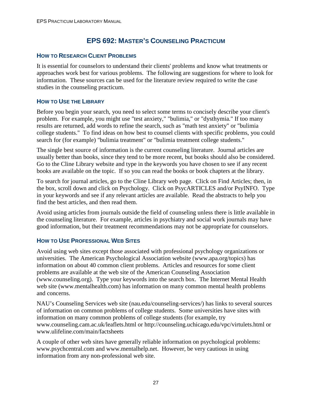#### **EPS 692: MASTER'S COUNSELING PRACTICUM**

#### **HOW TO RESEARCH CLIENT PROBLEMS**

It is essential for counselors to understand their clients' problems and know what treatments or approaches work best for various problems. The following are suggestions for where to look for information. These sources can be used for the literature review required to write the case studies in the counseling practicum.

#### **HOW TO USE THE LIBRARY**

Before you begin your search, you need to select some terms to concisely describe your client's problem. For example, you might use "test anxiety," "bulimia," or "dysthymia." If too many results are returned, add words to refine the search, such as "math test anxiety" or "bulimia college students." To find ideas on how best to counsel clients with specific problems, you could search for (for example) "bulimia treatment" or "bulimia treatment college students."

The single best source of information is the current counseling literature. Journal articles are usually better than books, since they tend to be more recent, but books should also be considered. Go to the Cline Library website and type in the keywords you have chosen to see if any recent books are available on the topic. If so you can read the books or book chapters at the library.

To search for journal articles, go to the Cline Library web page. Click on Find Articles; then, in the box, scroll down and click on Psychology. Click on PsycARTICLES and/or PsyINFO. Type in your keywords and see if any relevant articles are available. Read the abstracts to help you find the best articles, and then read them.

Avoid using articles from journals outside the field of counseling unless there is little available in the counseling literature. For example, articles in psychiatry and social work journals may have good information, but their treatment recommendations may not be appropriate for counselors.

#### **HOW TO USE PROFESSIONAL WEB SITES**

Avoid using web sites except those associated with professional psychology organizations or universities. The American Psychological Association website (www.apa.org/topics) has information on about 40 common client problems. Articles and resources for some client problems are available at the web site of the American Counseling Association (www.counseling.org). Type your keywords into the search box. The Internet Mental Health web site (www.mentalhealth.com) has information on many common mental health problems and concerns.

NAU's Counseling Services web site (nau.edu/counseling-services/) has links to several sources of information on common problems of college students. Some universities have sites with information on many common problems of college students (for example, try www.counseling.cam.ac.uk/leaflets.html or http://counseling.uchicago.edu/vpc/virtulets.html or www.ulifeline.com/main/factsheets

A couple of other web sites have generally reliable information on psychological problems: www.psychcentral.com and www.mentalhelp.net. However, be very cautious in using information from any non-professional web site.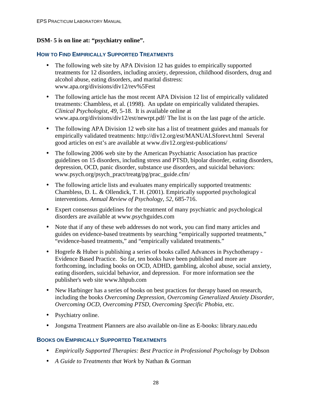#### **DSM- 5 is on line at: "psychiatry online".**

#### **HOW TO FIND EMPIRICALLY SUPPORTED TREATMENTS**

- The following web site by APA Division 12 has guides to empirically supported treatments for 12 disorders, including anxiety, depression, childhood disorders, drug and alcohol abuse, eating disorders, and marital distress: www.apa.org/divisions/div12/rev%5Fest
- The following article has the most recent APA Division 12 list of empirically validated treatments: Chambless, et al. (1998). An update on empirically validated therapies. *Clinical Psychologist, 49*, 5-18. It is available online at www.apa.org/divisions/div12/est/newrpt.pdf/ The list is on the last page of the article.
- The following APA Division 12 web site has a list of treatment guides and manuals for empirically validated treatments: http://div12.org/est/MANUALSforevt.html Several good articles on est's are available at www.div12.org/est-publications/
- The following 2006 web site by the American Psychiatric Association has practice guidelines on 15 disorders, including stress and PTSD, bipolar disorder, eating disorders, depression, OCD, panic disorder, substance use disorders, and suicidal behaviors: www.psych.org/psych\_pract/treatg/pg/prac\_guide.cfm/
- The following article lists and evaluates many empirically supported treatments: Chambless, D. L. & Ollendick, T. H. (2001). Empirically supported psychological interventions. *Annual Review of Psychology, 52*, 685-716.
- Expert consensus guidelines for the treatment of many psychiatric and psychological disorders are available at www.psychguides.com
- Note that if any of these web addresses do not work, you can find many articles and guides on evidence-based treatments by searching "empirically supported treatments," "evidence-based treatments," and "empirically validated treatments."
- Hogrefe & Huber is publishing a series of books called Advances in Psychotherapy Evidence Based Practice. So far, ten books have been published and more are forthcoming, including books on OCD, ADHD, gambling, alcohol abuse, social anxiety, eating disorders, suicidal behavior, and depression. For more information see the publisher's web site www.hhpub.com
- New Harbinger has a series of books on best practices for therapy based on research, including the books *Overcoming Depression, Overcoming Generalized Anxiety Disorder, Overcoming OCD, Overcoming PTSD, Overcoming Specific Phobia*, etc.
- Psychiatry online.
- Jongsma Treatment Planners are also available on-line as E-books: library.nau.edu

#### **BOOKS ON EMPIRICALLY SUPPORTED TREATMENTS**

- *Empirically Supported Therapies: Best Practice in Professional Psychology* by Dobson
- *A Guide to Treatments that Work* by Nathan & Gorman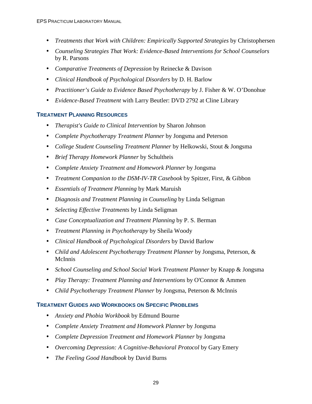- *Treatments that Work with Children: Empirically Supported Strategies* by Christophersen
- *Counseling Strategies That Work: Evidence-Based Interventions for School Counselors*  by R. Parsons
- *Comparative Treatments of Depression* by Reinecke & Davison
- *Clinical Handbook of Psychological Disorders* by D. H. Barlow
- *Practitioner's Guide to Evidence Based Psychotherapy* by J. Fisher & W. O'Donohue
- *Evidence-Based Treatment* with Larry Beutler: DVD 2792 at Cline Library

#### **TREATMENT PLANNING RESOURCES**

- *Therapist's Guide to Clinical Intervention* by Sharon Johnson
- *Complete Psychotherapy Treatment Planner* by Jongsma and Peterson
- *College Student Counseling Treatment Planner* by Helkowski, Stout & Jongsma
- *Brief Therapy Homework Planner* by Schultheis
- *Complete Anxiety Treatment and Homework Planner* by Jongsma
- *Treatment Companion to the DSM-IV-TR Casebook* by Spitzer, First, & Gibbon
- *Essentials of Treatment Planning* by Mark Maruish
- *Diagnosis and Treatment Planning in Counseling* by Linda Seligman
- *Selecting Effective Treatments* by Linda Seligman
- *Case Conceptualization and Treatment Planning* by P. S. Berman
- *Treatment Planning in Psychotherapy* by Sheila Woody
- *Clinical Handbook of Psychological Disorders* by David Barlow
- *Child and Adolescent Psychotherapy Treatment Planner* by Jongsma, Peterson, & McInnis
- *School Counseling and School Social Work Treatment Planner* by Knapp & Jongsma
- *Play Therapy: Treatment Planning and Interventions* by O'Connor & Ammen
- *Child Psychotherapy Treatment Planner* by Jongsma, Peterson & McInnis

#### **TREATMENT GUIDES AND WORKBOOKS ON SPECIFIC PROBLEMS**

- *Anxiety and Phobia Workbook* by Edmund Bourne
- *Complete Anxiety Treatment and Homework Planner* by Jongsma
- *Complete Depression Treatment and Homework Planner* by Jongsma
- *Overcoming Depression: A Cognitive-Behavioral Protocol* by Gary Emery
- *The Feeling Good Handbook* by David Burns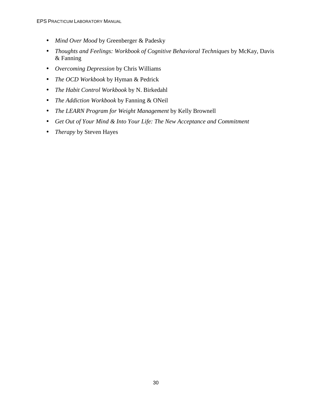- *Mind Over Mood* by Greenberger & Padesky
- *Thoughts and Feelings: Workbook of Cognitive Behavioral Techniques* by McKay, Davis & Fanning
- *Overcoming Depression* by Chris Williams
- *The OCD Workbook* by Hyman & Pedrick
- *The Habit Control Workbook* by N. Birkedahl
- *The Addiction Workbook* by Fanning & ONeil
- *The LEARN Program for Weight Management* by Kelly Brownell
- *Get Out of Your Mind & Into Your Life: The New Acceptance and Commitment*
- *Therapy* by Steven Hayes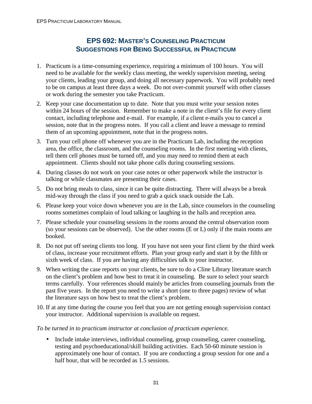#### **EPS 692: MASTER'S COUNSELING PRACTICUM SUGGESTIONS FOR BEING SUCCESSFUL IN PRACTICUM**

- 1. Practicum is a time-consuming experience, requiring a minimum of 100 hours. You will need to be available for the weekly class meeting, the weekly supervision meeting, seeing your clients, leading your group, and doing all necessary paperwork. You will probably need to be on campus at least three days a week. Do not over-commit yourself with other classes or work during the semester you take Practicum.
- 2. Keep your case documentation up to date. Note that you must write your session notes within 24 hours of the session. Remember to make a note in the client's file for every client contact, including telephone and e-mail. For example, if a client e-mails you to cancel a session, note that in the progress notes. If you call a client and leave a message to remind them of an upcoming appointment, note that in the progress notes.
- 3. Turn your cell phone off whenever you are in the Practicum Lab, including the reception area, the office, the classroom, and the counseling rooms. In the first meeting with clients, tell them cell phones must be turned off, and you may need to remind them at each appointment. Clients should not take phone calls during counseling sessions.
- 4. During classes do not work on your case notes or other paperwork while the instructor is talking or while classmates are presenting their cases.
- 5. Do not bring meals to class, since it can be quite distracting. There will always be a break mid-way through the class if you need to grab a quick snack outside the Lab.
- 6. Please keep your voice down whenever you are in the Lab, since counselors in the counseling rooms sometimes complain of loud talking or laughing in the halls and reception area.
- 7. Please schedule your counseling sessions in the rooms around the central observation room (so your sessions can be observed). Use the other rooms (E or L) only if the main rooms are booked.
- 8. Do not put off seeing clients too long. If you have not seen your first client by the third week of class, increase your recruitment efforts. Plan your group early and start it by the fifth or sixth week of class. If you are having any difficulties talk to your instructor.
- 9. When writing the case reports on your clients, be sure to do a Cline Library literature search on the client's problem and how best to treat it in counseling. Be sure to select your search terms carefully. Your references should mainly be articles from counseling journals from the past five years. In the report you need to write a short (one to three pages) review of what the literature says on how best to treat the client's problem.
- 10. If at any time during the course you feel that you are not getting enough supervision contact your instructor. Additional supervision is available on request.
- *To be turned in to practicum instructor at conclusion of practicum experience.*
	- Include intake interviews, individual counseling, group counseling, career counseling, testing and psychoeducational/skill building activities. Each 50-60 minute session is approximately one hour of contact. If you are conducting a group session for one and a half hour, that will be recorded as 1.5 sessions.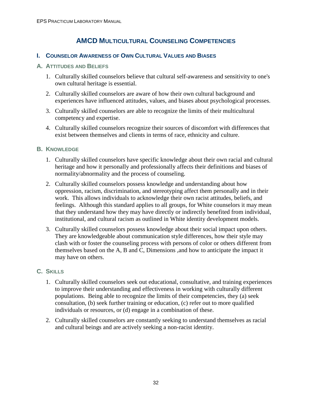# **AMCD MULTICULTURAL COUNSELING COMPETENCIES**

## **I. COUNSELOR AWARENESS OF OWN CULTURAL VALUES AND BIASES**

#### **A. ATTITUDES AND BELIEFS**

- 1. Culturally skilled counselors believe that cultural self-awareness and sensitivity to one's own cultural heritage is essential.
- 2. Culturally skilled counselors are aware of how their own cultural background and experiences have influenced attitudes, values, and biases about psychological processes.
- 3. Culturally skilled counselors are able to recognize the limits of their multicultural competency and expertise.
- 4. Culturally skilled counselors recognize their sources of discomfort with differences that exist between themselves and clients in terms of race, ethnicity and culture.

### **B. KNOWLEDGE**

- 1. Culturally skilled counselors have specific knowledge about their own racial and cultural heritage and how it personally and professionally affects their definitions and biases of normality/abnormality and the process of counseling.
- 2. Culturally skilled counselors possess knowledge and understanding about how oppression, racism, discrimination, and stereotyping affect them personally and in their work. This allows individuals to acknowledge their own racist attitudes, beliefs, and feelings. Although this standard applies to all groups, for White counselors it may mean that they understand how they may have directly or indirectly benefited from individual, institutional, and cultural racism as outlined in White identity development models.
- 3. Culturally skilled counselors possess knowledge about their social impact upon others. They are knowledgeable about communication style differences, how their style may clash with or foster the counseling process with persons of color or others different from themselves based on the A, B and C, Dimensions ,and how to anticipate the impact it may have on others.

## **C. SKILLS**

- 1. Culturally skilled counselors seek out educational, consultative, and training experiences to improve their understanding and effectiveness in working with culturally different populations. Being able to recognize the limits of their competencies, they (a) seek consultation, (b) seek further training or education, (c) refer out to more qualified individuals or resources, or (d) engage in a combination of these.
- 2. Culturally skilled counselors are constantly seeking to understand themselves as racial and cultural beings and are actively seeking a non-racist identity.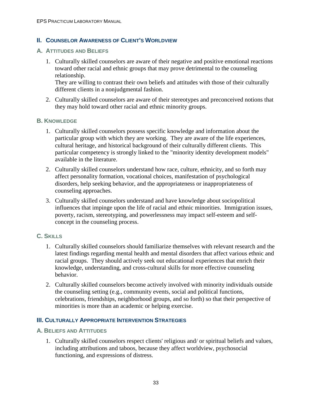### **II. COUNSELOR AWARENESS OF CLIENT'S WORLDVIEW**

#### **A. ATTITUDES AND BELIEFS**

1. Culturally skilled counselors are aware of their negative and positive emotional reactions toward other racial and ethnic groups that may prove detrimental to the counseling relationship.

They are willing to contrast their own beliefs and attitudes with those of their culturally different clients in a nonjudgmental fashion.

2. Culturally skilled counselors are aware of their stereotypes and preconceived notions that they may hold toward other racial and ethnic minority groups.

#### **B. KNOWLEDGE**

- 1. Culturally skilled counselors possess specific knowledge and information about the particular group with which they are working. They are aware of the life experiences, cultural heritage, and historical background of their culturally different clients. This particular competency is strongly linked to the "minority identity development models" available in the literature.
- 2. Culturally skilled counselors understand how race, culture, ethnicity, and so forth may affect personality formation, vocational choices, manifestation of psychological disorders, help seeking behavior, and the appropriateness or inappropriateness of counseling approaches.
- 3. Culturally skilled counselors understand and have knowledge about sociopolitical influences that impinge upon the life of racial and ethnic minorities. Immigration issues, poverty, racism, stereotyping, and powerlessness may impact self-esteem and selfconcept in the counseling process.

### **C. SKILLS**

- 1. Culturally skilled counselors should familiarize themselves with relevant research and the latest findings regarding mental health and mental disorders that affect various ethnic and racial groups. They should actively seek out educational experiences that enrich their knowledge, understanding, and cross-cultural skills for more effective counseling behavior.
- 2. Culturally skilled counselors become actively involved with minority individuals outside the counseling setting (e.g., community events, social and political functions, celebrations, friendships, neighborhood groups, and so forth) so that their perspective of minorities is more than an academic or helping exercise.

## **III. CULTURALLY APPROPRIATE INTERVENTION STRATEGIES**

#### **A. BELIEFS AND ATTITUDES**

1. Culturally skilled counselors respect clients' religious and/ or spiritual beliefs and values, including attributions and taboos, because they affect worldview, psychosocial functioning, and expressions of distress.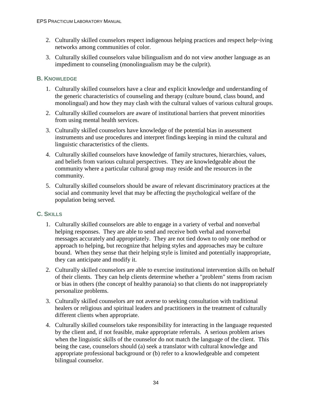- 2. Culturally skilled counselors respect indigenous helping practices and respect help~iving networks among communities of color.
- 3. Culturally skilled counselors value bilingualism and do not view another language as an impediment to counseling (monolingualism may be the culprit).

## **B. KNOWLEDGE**

- 1. Culturally skilled counselors have a clear and explicit knowledge and understanding of the generic characteristics of counseling and therapy (culture bound, class bound, and monolingual) and how they may clash with the cultural values of various cultural groups.
- 2. Culturally skilled counselors are aware of institutional barriers that prevent minorities from using mental health services.
- 3. Culturally skilled counselors have knowledge of the potential bias in assessment instruments and use procedures and interpret findings keeping in mind the cultural and linguistic characteristics of the clients.
- 4. Culturally skilled counselors have knowledge of family structures, hierarchies, values, and beliefs from various cultural perspectives. They are knowledgeable about the community where a particular cultural group may reside and the resources in the community.
- 5. Culturally skilled counselors should be aware of relevant discriminatory practices at the social and community level that may be affecting the psychological welfare of the population being served.

## **C. SKILLS**

- 1. Culturally skilled counselors are able to engage in a variety of verbal and nonverbal helping responses. They are able to send and receive both verbal and nonverbal messages accurately and appropriately. They are not tied down to only one method or approach to helping, but recognize that helping styles and approaches may be culture bound. When they sense that their helping style is limited and potentially inappropriate, they can anticipate and modify it.
- 2. Culturally skilled counselors are able to exercise institutional intervention skills on behalf of their clients. They can help clients determine whether a "problem" stems from racism or bias in others (the concept of healthy paranoia) so that clients do not inappropriately personalize problems.
- 3. Culturally skilled counselors are not averse to seeking consultation with traditional healers or religious and spiritual leaders and practitioners in the treatment of culturally different clients when appropriate.
- 4. Culturally skilled counselors take responsibility for interacting in the language requested by the client and, if not feasible, make appropriate referrals. A serious problem arises when the linguistic skills of the counselor do not match the language of the client. This being the case, counselors should (a) seek a translator with cultural knowledge and appropriate professional background or (b) refer to a knowledgeable and competent bilingual counselor.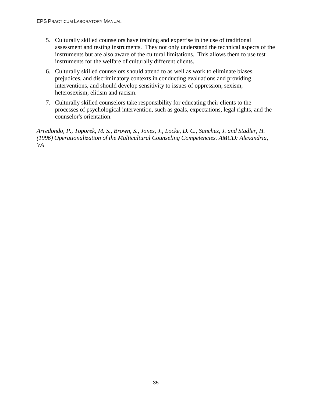- 5. Culturally skilled counselors have training and expertise in the use of traditional assessment and testing instruments. They not only understand the technical aspects of the instruments but are also aware of the cultural limitations. This allows them to use test instruments for the welfare of culturally different clients.
- 6. Culturally skilled counselors should attend to as well as work to eliminate biases, prejudices, and discriminatory contexts in conducting evaluations and providing interventions, and should develop sensitivity to issues of oppression, sexism, heterosexism, elitism and racism.
- 7. Culturally skilled counselors take responsibility for educating their clients to the processes of psychological intervention, such as goals, expectations, legal rights, and the counselor's orientation.

*Arredondo, P., Toporek, M. S., Brown, S., Jones, J., Locke, D. C., Sanchez, J. and Stadler, H. (1996) Operationalization of the Multicultural Counseling Competencies. AMCD: Alexandria, VA*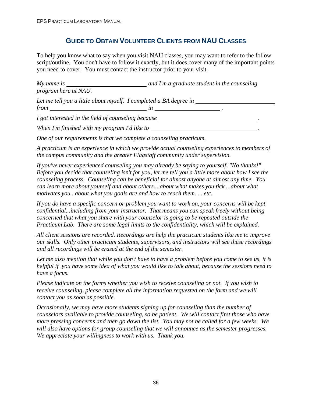# **GUIDE TO OBTAIN VOLUNTEER CLIENTS FROM NAU CLASSES**

To help you know what to say when you visit NAU classes, you may want to refer to the follow script/outline. You don't have to follow it exactly, but it does cover many of the important points you need to cover. You must contact the instructor prior to your visit.

| $My$ name is<br>program here at NAU.                                             | and I'm a graduate student in the counseling |  |  |
|----------------------------------------------------------------------------------|----------------------------------------------|--|--|
| Let me tell you a little about myself. I completed a BA degree in<br>$from$ $in$ |                                              |  |  |
| I got interested in the field of counseling because                              |                                              |  |  |
| When I'm finished with my program I'd like to                                    |                                              |  |  |

*One of our requirements is that we complete a counseling practicum.* 

*A practicum is an experience in which we provide actual counseling experiences to members of the campus community and the greater Flagstaff community under supervision.* 

*If you've never experienced counseling you may already be saying to yourself, "No thanks!" Before you decide that counseling isn't for you, let me tell you a little more about how I see the counseling process. Counseling can be beneficial for almost anyone at almost any time. You can learn more about yourself and about others....about what makes you tick....about what motivates you...about what you goals are and how to reach them. . . etc.* 

*If you do have a specific concern or problem you want to work on, your concerns will be kept confidential...including from your instructor. That means you can speak freely without being concerned that what you share with your counselor is going to be repeated outside the Practicum Lab. There are some legal limits to the confidentiality, which will be explained.* 

*All client sessions are recorded. Recordings are help the practicum students like me to improve our skills. Only other practicum students, supervisors, and instructors will see these recordings and all recordings will be erased at the end of the semester.* 

*Let me also mention that while you don't have to have a problem before you come to see us, it is helpful if you have some idea of what you would like to talk about, because the sessions need to have a focus.* 

*Please indicate on the forms whether you wish to receive counseling or not. If you wish to receive counseling, please complete all the information requested on the form and we will contact you as soon as possible.* 

*Occasionally, we may have more students signing up for counseling than the number of counselors available to provide counseling, so be patient. We will contact first those who have more pressing concerns and then go down the list. You may not be called for a few weeks. We will also have options for group counseling that we will announce as the semester progresses. We appreciate your willingness to work with us. Thank you.*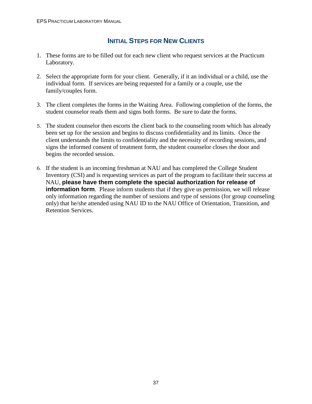# **INITIAL STEPS FOR NEW CLIENTS**

- 1. These forms are to be filled out for each new client who request services at the Practicum Laboratory.
- 2. Select the appropriate form for your client. Generally, if it an individual or a child, use the individual form. If services are being requested for a family or a couple, use the family/couples form.
- 3. The client completes the forms in the Waiting Area. Following completion of the forms, the student counselor reads them and signs both forms. Be sure to date the forms.
- 5. The student counselor then escorts the client back to the counseling room which has already been set up for the session and begins to discuss confidentiality and its limits. Once the client understands the limits to confidentiality and the necessity of recording sessions, and signs the informed consent of treatment form, the student counselor closes the door and begins the recorded session.
- 6. If the student is an incoming freshman at NAU and has completed the College Student Inventory (CSI) and is requesting services as part of the program to facilitate their success at NAU, **please have them complete the special authorization for release of information form**. Please inform students that if they give us permission, we will release only information regarding the number of sessions and type of sessions (for group counseling only) that he/she attended using NAU ID to the NAU Office of Orientation, Transition, and Retention Services.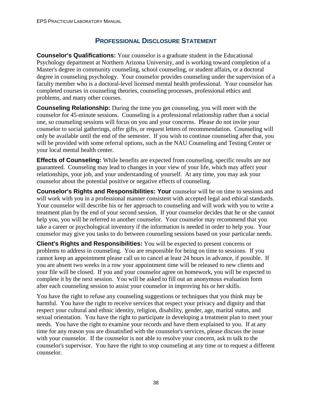# **PROFESSIONAL DISCLOSURE STATEMENT**

**Counselor's Qualifications:** Your counselor is a graduate student in the Educational Psychology department at Northern Arizona University, and is working toward completion of a Master's degree in community counseling, school counseling, or student affairs, or a doctoral degree in counseling psychology. Your counselor provides counseling under the supervision of a faculty member who is a doctoral-level licensed mental health professional. Your counselor has completed courses in counseling theories, counseling processes, professional ethics and problems, and many other courses.

**Counseling Relationship:** During the time you get counseling, you will meet with the counselor for 45-minute sessions. Counseling is a professional relationship rather than a social one, so counseling sessions will focus on you and your concerns. Please do not invite your counselor to social gatherings, offer gifts, or request letters of recommendation. Counseling will only be available until the end of the semester. If you wish to continue counseling after that, you will be provided with some referral options, such as the NAU Counseling and Testing Center or your local mental health center.

**Effects of Counseling:** While benefits are expected from counseling, specific results are not guaranteed. Counseling may lead to changes in your view of your life, which may affect your relationships, your job, and your understanding of yourself. At any time, you may ask your counselor about the potential positive or negative effects of counseling.

**Counselor's Rights and Responsibilities: Your** counselor will be on time to sessions and will work with you in a professional manner consistent with accepted legal and ethical standards. Your counselor will describe his or her approach to counseling and will work with you to write a treatment plan by the end of your second session. If your counselor decides that he or she cannot help you, you will be referred to another counselor. Your counselor may recommend that you take a career or psychological inventory if the information is needed in order to help you. Your counselor may give you tasks to do between counseling sessions based on your particular needs.

**Client's Rights and Responsibilities:** You will be expected to present concerns or problems to address in counseling. You are responsible for being on time to sessions. If you cannot keep an appointment please call us to cancel at least 24 hours in advance, if possible. If you are absent two weeks in a row your appointment time will be released to new clients and your file will be closed. If you and your counselor agree on homework, you will be expected to complete it by the next session. You will be asked to fill out an anonymous evaluation form after each counseling session to assist your counselor in improving his or her skills.

You have the right to refuse any counseling suggestions or techniques that you think may be harmful. You have the right to receive services that respect your privacy and dignity and that respect your cultural and ethnic identity, religion, disability, gender, age, marital status, and sexual orientation. You have the right to participate in developing a treatment plan to meet your needs. You have the right to examine your records and have them explained to you. If at any time for any reason you are dissatisfied with the counselor's services, please discuss the issue with your counselor. If the counselor is not able to resolve your concern, ask to talk to the counselor's supervisor. You have the right to stop counseling at any time or to request a different counselor.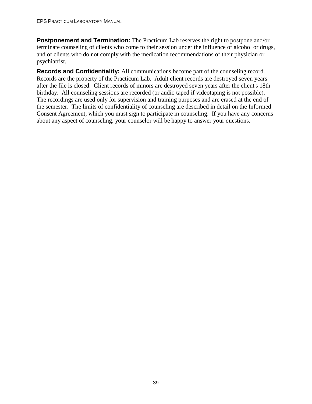**Postponement and Termination:** The Practicum Lab reserves the right to postpone and/or terminate counseling of clients who come to their session under the influence of alcohol or drugs, and of clients who do not comply with the medication recommendations of their physician or psychiatrist.

**Records and Confidentiality:** All communications become part of the counseling record. Records are the property of the Practicum Lab. Adult client records are destroyed seven years after the file is closed. Client records of minors are destroyed seven years after the client's 18th birthday. All counseling sessions are recorded (or audio taped if videotaping is not possible). The recordings are used only for supervision and training purposes and are erased at the end of the semester. The limits of confidentiality of counseling are described in detail on the Informed Consent Agreement, which you must sign to participate in counseling. If you have any concerns about any aspect of counseling, your counselor will be happy to answer your questions.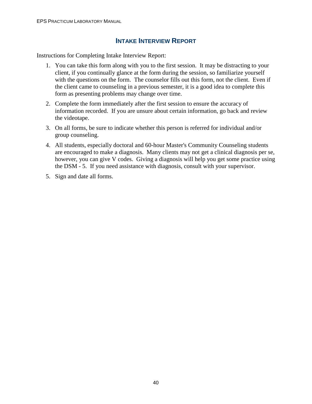## **INTAKE INTERVIEW REPORT**

Instructions for Completing Intake Interview Report:

- 1. You can take this form along with you to the first session. It may be distracting to your client, if you continually glance at the form during the session, so familiarize yourself with the questions on the form. The counselor fills out this form, not the client. Even if the client came to counseling in a previous semester, it is a good idea to complete this form as presenting problems may change over time.
- 2. Complete the form immediately after the first session to ensure the accuracy of information recorded. If you are unsure about certain information, go back and review the videotape.
- 3. On all forms, be sure to indicate whether this person is referred for individual and/or group counseling.
- 4. All students, especially doctoral and 60-hour Master's Community Counseling students are encouraged to make a diagnosis. Many clients may not get a clinical diagnosis per se, however, you can give V codes. Giving a diagnosis will help you get some practice using the DSM - 5. If you need assistance with diagnosis, consult with your supervisor.
- 5. Sign and date all forms.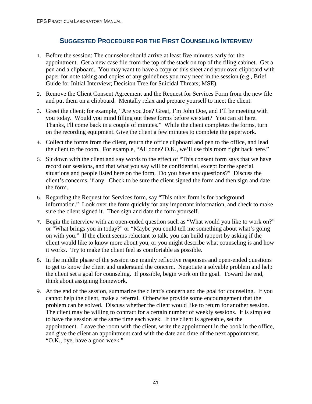# **SUGGESTED PROCEDURE FOR THE FIRST COUNSELING INTERVIEW**

- 1. Before the session: The counselor should arrive at least five minutes early for the appointment. Get a new case file from the top of the stack on top of the filing cabinet. Get a pen and a clipboard. You may want to have a copy of this sheet and your own clipboard with paper for note taking and copies of any guidelines you may need in the session (e.g., Brief Guide for Initial Interview; Decision Tree for Suicidal Threats; MSE).
- 2. Remove the Client Consent Agreement and the Request for Services Form from the new file and put them on a clipboard. Mentally relax and prepare yourself to meet the client.
- 3. Greet the client; for example, "Are you Joe? Great, I'm John Doe, and I'll be meeting with you today. Would you mind filling out these forms before we start? You can sit here. Thanks, I'll come back in a couple of minutes." While the client completes the forms, turn on the recording equipment. Give the client a few minutes to complete the paperwork.
- 4. Collect the forms from the client, return the office clipboard and pen to the office, and lead the client to the room. For example, "All done? O.K., we'll use this room right back here."
- 5. Sit down with the client and say words to the effect of "This consent form says that we have record our sessions, and that what you say will be confidential, except for the special situations and people listed here on the form. Do you have any questions?" Discuss the client's concerns, if any. Check to be sure the client signed the form and then sign and date the form.
- 6. Regarding the Request for Services form, say "This other form is for background information." Look over the form quickly for any important information, and check to make sure the client signed it. Then sign and date the form yourself.
- 7. Begin the interview with an open-ended question such as "What would you like to work on?" or "What brings you in today?" or "Maybe you could tell me something about what's going on with you." If the client seems reluctant to talk, you can build rapport by asking if the client would like to know more about you, or you might describe what counseling is and how it works. Try to make the client feel as comfortable as possible.
- 8. In the middle phase of the session use mainly reflective responses and open-ended questions to get to know the client and understand the concern. Negotiate a solvable problem and help the client set a goal for counseling. If possible, begin work on the goal. Toward the end, think about assigning homework.
- 9. At the end of the session, summarize the client's concern and the goal for counseling. If you cannot help the client, make a referral. Otherwise provide some encouragement that the problem can be solved. Discuss whether the client would like to return for another session. The client may be willing to contract for a certain number of weekly sessions. It is simplest to have the session at the same time each week. If the client is agreeable, set the appointment. Leave the room with the client, write the appointment in the book in the office, and give the client an appointment card with the date and time of the next appointment. "O.K., bye, have a good week."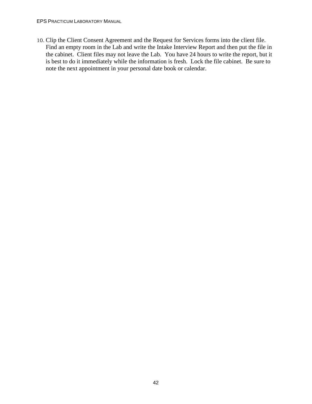EPS PRACTICUM LABORATORY MANUAL

10. Clip the Client Consent Agreement and the Request for Services forms into the client file. Find an empty room in the Lab and write the Intake Interview Report and then put the file in the cabinet. Client files may not leave the Lab. You have 24 hours to write the report, but it is best to do it immediately while the information is fresh. Lock the file cabinet. Be sure to note the next appointment in your personal date book or calendar.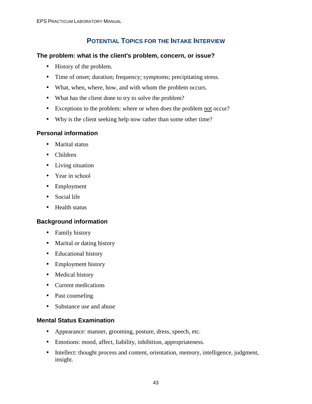# **POTENTIAL TOPICS FOR THE INTAKE INTERVIEW**

### **The problem: what is the client's problem, concern, or issue?**

- History of the problem.
- Time of onset; duration; frequency; symptoms; precipitating stress.
- What, when, where, how, and with whom the problem occurs.
- What has the client done to try to solve the problem?
- Exceptions to the problem: where or when does the problem not occur?
- Why is the client seeking help now rather than some other time?

## **Personal information**

- Marital status
- Children
- Living situation
- Year in school
- Employment
- Social life
- Health status

## **Background information**

- Family history
- Marital or dating history
- Educational history
- Employment history
- Medical history
- Current medications
- Past counseling
- Substance use and abuse

### **Mental Status Examination**

- Appearance: manner, grooming, posture, dress, speech, etc.
- Emotions: mood, affect, liability, inhibition, appropriateness.
- Intellect: thought process and content, orientation, memory, intelligence, judgment, insight.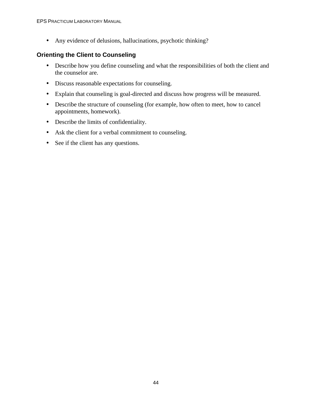• Any evidence of delusions, hallucinations, psychotic thinking?

## **Orienting the Client to Counseling**

- Describe how you define counseling and what the responsibilities of both the client and the counselor are.
- Discuss reasonable expectations for counseling.
- Explain that counseling is goal-directed and discuss how progress will be measured.
- Describe the structure of counseling (for example, how often to meet, how to cancel appointments, homework).
- Describe the limits of confidentiality.
- Ask the client for a verbal commitment to counseling.
- See if the client has any questions.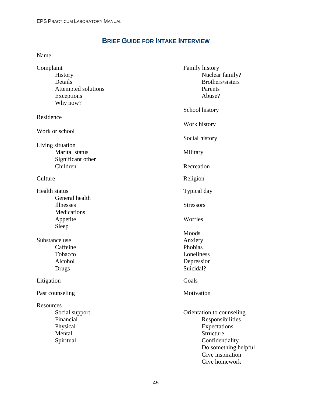# **BRIEF GUIDE FOR INTAKE INTERVIEW**

Name:

| Complaint<br><b>History</b><br>Details<br>Attempted solutions<br>Exceptions | Family history<br>Nuclear family?<br>Brothers/sisters<br>Parents<br>Abuse?                                                                                 |  |
|-----------------------------------------------------------------------------|------------------------------------------------------------------------------------------------------------------------------------------------------------|--|
| Why now?                                                                    | School history                                                                                                                                             |  |
| Residence                                                                   | Work history                                                                                                                                               |  |
| Work or school                                                              | Social history                                                                                                                                             |  |
| Living situation<br>Marital status<br>Significant other                     | Military                                                                                                                                                   |  |
| Children                                                                    | Recreation                                                                                                                                                 |  |
| Culture                                                                     | Religion                                                                                                                                                   |  |
| <b>Health status</b>                                                        | Typical day                                                                                                                                                |  |
| General health<br><b>Illnesses</b><br>Medications                           | <b>Stressors</b>                                                                                                                                           |  |
| Appetite<br>Sleep                                                           | Worries                                                                                                                                                    |  |
| Substance use<br>Caffeine<br>Tobacco<br>Alcohol<br>Drugs                    | Moods<br>Anxiety<br>Phobias<br>Loneliness<br>Depression<br>Suicidal?                                                                                       |  |
| Litigation                                                                  | Goals                                                                                                                                                      |  |
| Past counseling                                                             | Motivation                                                                                                                                                 |  |
| Resources<br>Social support<br>Financial<br>Physical<br>Mental<br>Spiritual | Orientation to counseling<br>Responsibilities<br>Expectations<br>Structure<br>Confidentiality<br>Do something helpful<br>Give inspiration<br>Give homework |  |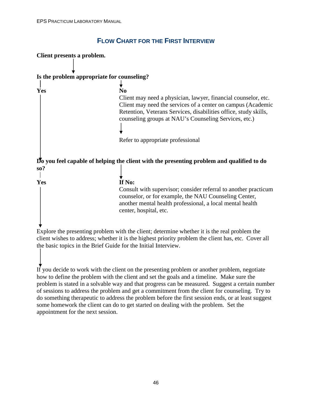# **FLOW CHART FOR THE FIRST INTERVIEW**

| Client presents a problem. |                                                                                                                                                                                                                                                                               |
|----------------------------|-------------------------------------------------------------------------------------------------------------------------------------------------------------------------------------------------------------------------------------------------------------------------------|
|                            |                                                                                                                                                                                                                                                                               |
|                            | Is the problem appropriate for counseling?                                                                                                                                                                                                                                    |
| Yes                        | N <sub>0</sub><br>Client may need a physician, lawyer, financial counselor, etc.<br>Client may need the services of a center on campus (Academic<br>Retention, Veterans Services, disabilities office, study skills,<br>counseling groups at NAU's Counseling Services, etc.) |
|                            | Refer to appropriate professional                                                                                                                                                                                                                                             |
|                            | Do you feel capable of helping the client with the presenting problem and qualified to do                                                                                                                                                                                     |
| so?                        |                                                                                                                                                                                                                                                                               |
| Yes                        | If No:<br>Consult with supervisor; consider referral to another practicum<br>counselor, or for example, the NAU Counseling Center,<br>another mental health professional, a local mental health<br>center, hospital, etc.                                                     |
|                            | Explore the presenting problem with the client; determine whether it is the real problem the                                                                                                                                                                                  |

client wishes to address; whether it is the highest priority problem the client has, etc. Cover all the basic topics in the Brief Guide for the Initial Interview.

If you decide to work with the client on the presenting problem or another problem, negotiate how to define the problem with the client and set the goals and a timeline. Make sure the problem is stated in a solvable way and that progress can be measured. Suggest a certain number of sessions to address the problem and get a commitment from the client for counseling. Try to do something therapeutic to address the problem before the first session ends, or at least suggest some homework the client can do to get started on dealing with the problem. Set the appointment for the next session.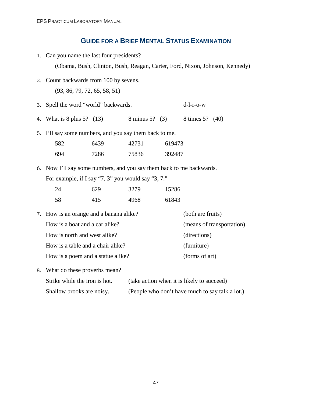## **GUIDE FOR A BRIEF MENTAL STATUS EXAMINATION**

1. Can you name the last four presidents?

(Obama, Bush, Clinton, Bush, Reagan, Carter, Ford, Nixon, Johnson, Kennedy)

- 2. Count backwards from 100 by sevens. (93, 86, 79, 72, 65, 58, 51)
- 3. Spell the word "world" backwards. d-l-r-o-w
- 4. What is 8 plus 5? (13) 8 minus 5? (3) 8 times 5? (40)
- 5. I'll say some numbers, and you say them back to me.

| 582  | 6439 | 42731 | 619473 |
|------|------|-------|--------|
| -694 | 7286 | 75836 | 392487 |

6. Now I'll say some numbers, and you say them back to me backwards. For example, if I say "7, 3" you would say "3, 7."

| 24 | 629 | 3279 | 15286 |  |
|----|-----|------|-------|--|
| 58 | 415 | 4968 | 61843 |  |

- 7. How is an orange and a banana alike? (both are fruits) How is a boat and a car alike? (means of transportation) How is north and west alike? (directions) How is a table and a chair alike? (furniture) How is a poem and a statue alike? (forms of art)
- 8. What do these proverbs mean? Strike while the iron is hot. (take action when it is likely to succeed) Shallow brooks are noisy. (People who don't have much to say talk a lot.)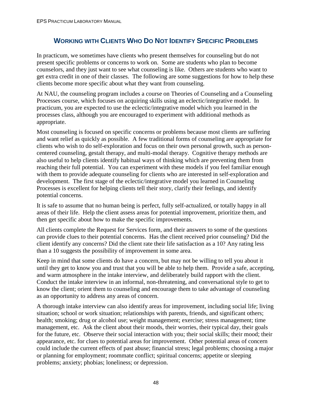# **WORKING WITH CLIENTS WHO DO NOT IDENTIFY SPECIFIC PROBLEMS**

In practicum, we sometimes have clients who present themselves for counseling but do not present specific problems or concerns to work on. Some are students who plan to become counselors, and they just want to see what counseling is like. Others are students who want to get extra credit in one of their classes. The following are some suggestions for how to help these clients become more specific about what they want from counseling.

At NAU, the counseling program includes a course on Theories of Counseling and a Counseling Processes course, which focuses on acquiring skills using an eclectic/integrative model. In practicum, you are expected to use the eclectic/integrative model which you learned in the processes class, although you are encouraged to experiment with additional methods as appropriate.

Most counseling is focused on specific concerns or problems because most clients are suffering and want relief as quickly as possible. A few traditional forms of counseling are appropriate for clients who wish to do self-exploration and focus on their own personal growth, such as personcentered counseling, gestalt therapy, and multi-modal therapy. Cognitive therapy methods are also useful to help clients identify habitual ways of thinking which are preventing them from reaching their full potential. You can experiment with these models if you feel familiar enough with them to provide adequate counseling for clients who are interested in self-exploration and development. The first stage of the eclectic/integrative model you learned in Counseling Processes is excellent for helping clients tell their story, clarify their feelings, and identify potential concerns.

It is safe to assume that no human being is perfect, fully self-actualized, or totally happy in all areas of their life. Help the client assess areas for potential improvement, prioritize them, and then get specific about how to make the specific improvements.

All clients complete the Request for Services form, and their answers to some of the questions can provide clues to their potential concerns. Has the client received prior counseling? Did the client identify any concerns? Did the client rate their life satisfaction as a 10? Any rating less than a 10 suggests the possibility of improvement in some area.

Keep in mind that some clients do have a concern, but may not be willing to tell you about it until they get to know you and trust that you will be able to help them. Provide a safe, accepting, and warm atmosphere in the intake interview, and deliberately build rapport with the client. Conduct the intake interview in an informal, non-threatening, and conversational style to get to know the client; orient them to counseling and encourage them to take advantage of counseling as an opportunity to address any areas of concern.

A thorough intake interview can also identify areas for improvement, including social life; living situation; school or work situation; relationships with parents, friends, and significant others; health; smoking; drug or alcohol use; weight management; exercise; stress management; time management, etc. Ask the client about their moods, their worries, their typical day, their goals for the future, etc. Observe their social interaction with you; their social skills; their mood; their appearance, etc. for clues to potential areas for improvement. Other potential areas of concern could include the current effects of past abuse; financial stress; legal problems; choosing a major or planning for employment; roommate conflict; spiritual concerns; appetite or sleeping problems; anxiety; phobias; loneliness; or depression.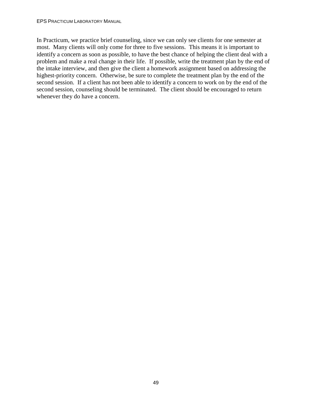In Practicum, we practice brief counseling, since we can only see clients for one semester at most. Many clients will only come for three to five sessions. This means it is important to identify a concern as soon as possible, to have the best chance of helping the client deal with a problem and make a real change in their life. If possible, write the treatment plan by the end of the intake interview, and then give the client a homework assignment based on addressing the highest-priority concern. Otherwise, be sure to complete the treatment plan by the end of the second session. If a client has not been able to identify a concern to work on by the end of the second session, counseling should be terminated. The client should be encouraged to return whenever they do have a concern.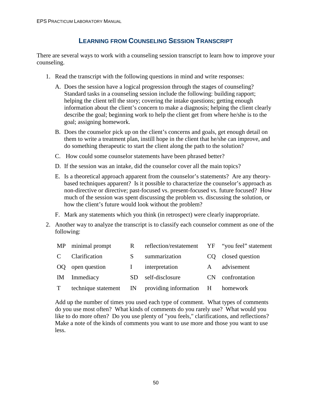# **LEARNING FROM COUNSELING SESSION TRANSCRIPT**

There are several ways to work with a counseling session transcript to learn how to improve your counseling.

- 1. Read the transcript with the following questions in mind and write responses:
	- A. Does the session have a logical progression through the stages of counseling? Standard tasks in a counseling session include the following: building rapport; helping the client tell the story; covering the intake questions; getting enough information about the client's concern to make a diagnosis; helping the client clearly describe the goal; beginning work to help the client get from where he/she is to the goal; assigning homework.
	- B. Does the counselor pick up on the client's concerns and goals, get enough detail on them to write a treatment plan, instill hope in the client that he/she can improve, and do something therapeutic to start the client along the path to the solution?
	- C. How could some counselor statements have been phrased better?
	- D. If the session was an intake, did the counselor cover all the main topics?
	- E. Is a theoretical approach apparent from the counselor's statements? Are any theorybased techniques apparent? Is it possible to characterize the counselor's approach as non-directive or directive; past-focused vs. present-focused vs. future focused? How much of the session was spent discussing the problem vs. discussing the solution, or how the client's future would look without the problem?
	- F. Mark any statements which you think (in retrospect) were clearly inappropriate.
- 2. Another way to analyze the transcript is to classify each counselor comment as one of the following:

|               | MP minimal prompt | R   | reflection/restatement YF "you feel" statement          |              |                 |
|---------------|-------------------|-----|---------------------------------------------------------|--------------|-----------------|
| $\mathcal{C}$ | Clarification     | S   | summarization                                           |              | closed question |
|               | OQ open question  |     | interpretation                                          | $\mathbf{A}$ | advisement      |
| <b>IM</b>     | Immediacy         | SD. | self-disclosure                                         | CN.          | confrontation   |
| T             |                   |     | technique statement IN providing information H homework |              |                 |

Add up the number of times you used each type of comment. What types of comments do you use most often? What kinds of comments do you rarely use? What would you like to do more often? Do you use plenty of "you feels," clarifications, and reflections? Make a note of the kinds of comments you want to use more and those you want to use less.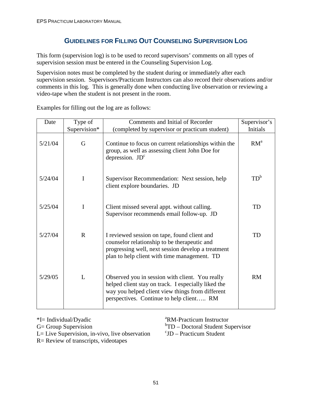# **GUIDELINES FOR FILLING OUT COUNSELING SUPERVISION LOG**

This form (supervision log) is to be used to record supervisors' comments on all types of supervision session must be entered in the Counseling Supervision Log.

Supervision notes must be completed by the student during or immediately after each supervision session. Supervisors/Practicum Instructors can also record their observations and/or comments in this log. This is generally done when conducting live observation or reviewing a video-tape when the student is not present in the room.

| Date    | Type of      | Comments and Initial of Recorder                                                                                                                                                                       | Supervisor's    |
|---------|--------------|--------------------------------------------------------------------------------------------------------------------------------------------------------------------------------------------------------|-----------------|
|         | Supervision* | (completed by supervisor or practicum student)                                                                                                                                                         | <b>Initials</b> |
| 5/21/04 | G            | Continue to focus on current relationships within the<br>group, as well as assessing client John Doe for<br>depression. $JD^c$                                                                         | RM <sup>a</sup> |
| 5/24/04 | $\mathbf I$  | Supervisor Recommendation: Next session, help<br>client explore boundaries. JD                                                                                                                         | $TD^b$          |
| 5/25/04 | I            | Client missed several appt. without calling.<br>Supervisor recommends email follow-up. JD                                                                                                              | TD              |
| 5/27/04 | $\mathbf R$  | I reviewed session on tape, found client and<br>counselor relationship to be therapeutic and<br>progressing well, next session develop a treatment<br>plan to help client with time management. TD     | TD              |
| 5/29/05 | L            | Observed you in session with client. You really<br>helped client stay on track. I especially liked the<br>way you helped client view things from different<br>perspectives. Continue to help client RM | <b>RM</b>       |

Examples for filling out the log are as follows:

G= Group Supervision

 $L=$  Live Supervision, in-vivo, live observation

R= Review of transcripts, videotapes

\*I= Individual/Dyadic <sup>a</sup>RM-Practicum Instructor

TD – Doctoral Student Supervisor

 $\mathrm{^{c}JD}$  – Practicum Student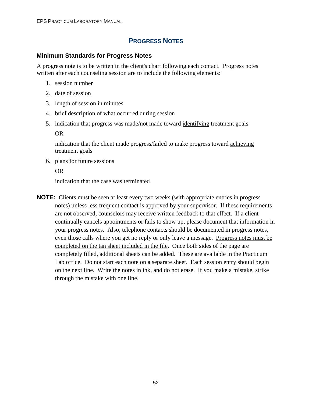# **PROGRESS NOTES**

#### **Minimum Standards for Progress Notes**

A progress note is to be written in the client's chart following each contact. Progress notes written after each counseling session are to include the following elements:

- 1. session number
- 2. date of session
- 3. length of session in minutes
- 4. brief description of what occurred during session
- 5. indication that progress was made/not made toward identifying treatment goals

OR

indication that the client made progress/failed to make progress toward achieving treatment goals

6. plans for future sessions

#### OR

indication that the case was terminated

**NOTE:** Clients must be seen at least every two weeks (with appropriate entries in progress notes) unless less frequent contact is approved by your supervisor. If these requirements are not observed, counselors may receive written feedback to that effect. If a client continually cancels appointments or fails to show up, please document that information in your progress notes. Also, telephone contacts should be documented in progress notes, even those calls where you get no reply or only leave a message. Progress notes must be completed on the tan sheet included in the file. Once both sides of the page are completely filled, additional sheets can be added. These are available in the Practicum Lab office. Do not start each note on a separate sheet. Each session entry should begin on the next line. Write the notes in ink, and do not erase. If you make a mistake, strike through the mistake with one line.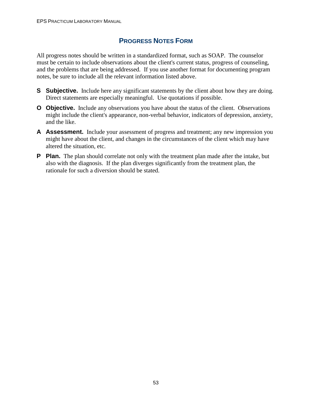# **PROGRESS NOTES FORM**

All progress notes should be written in a standardized format, such as SOAP. The counselor must be certain to include observations about the client's current status, progress of counseling, and the problems that are being addressed. If you use another format for documenting program notes, be sure to include all the relevant information listed above.

- **S** Subjective. Include here any significant statements by the client about how they are doing. Direct statements are especially meaningful. Use quotations if possible.
- **O** Objective. Include any observations you have about the status of the client. Observations might include the client's appearance, non-verbal behavior, indicators of depression, anxiety, and the like.
- **A Assessment.** Include your assessment of progress and treatment; any new impression you might have about the client, and changes in the circumstances of the client which may have altered the situation, etc.
- **P** Plan. The plan should correlate not only with the treatment plan made after the intake, but also with the diagnosis. If the plan diverges significantly from the treatment plan, the rationale for such a diversion should be stated.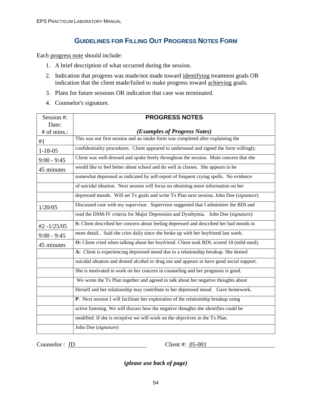# **GUIDELINES FOR FILLING OUT PROGRESS NOTES FORM**

Each progress note should include:

- 1. A brief description of what occurred during the session.
- 2. Indication that progress was made/not made toward identifying treatment goals OR indication that the client made/failed to make progress toward achieving goals.
- 3. Plans for future sessions OR indication that case was terminated.
- 4. Counselor's signature.

| Session #:     | <b>PROGRESS NOTES</b>                                                                     |
|----------------|-------------------------------------------------------------------------------------------|
| Date:          |                                                                                           |
| # of mins.:    | (Examples of Progress Notes)                                                              |
| #1             | This was our first session and an intake form was completed after explaining the          |
| $1 - 18 - 05$  | confidentiality procedures. Client appeared to understand and signed the form willingly.  |
| $9:00 - 9:45$  | Client was well-dressed and spoke freely throughout the session. Main concern that she    |
| 45 minutes     | would like to feel better about school and do well in classes. She appears to be          |
|                | somewhat depressed as indicated by self-report of frequent crying spells. No evidence     |
|                | of suicidal ideation. Next session will focus on obtaining more information on her        |
|                | depressed moods. Will set Tx goals and write Tx Plan next session. John Doe (signature)   |
| 1/20/05        | Discussed case with my supervisor. Supervisor suggested that I administer the BDI and     |
|                | read the DSM-IV criteria for Major Depression and Dysthymia. John Doe (signature)         |
| $#2 - 1/25/05$ | S: Client described her concern about feeling depressed and described her bad moods in    |
| $9:00 - 9:45$  | more detail Said she cries daily since she broke up with her boyfriend last week.         |
| 45 minutes     | O: Client cried when talking about her boyfriend. Client took BDI; scored 18 (mild-mod).  |
|                | A: Client is experiencing depressed mood due to a relationship breakup. She denied        |
|                | suicidal ideation and denied alcohol or drug use and appears to have good social support. |
|                | She is motivated to work on her concern in counseling and her prognosis is good.          |
|                | We wrote the Tx Plan together and agreed to talk about her negative thoughts about        |
|                | Herself and her relationship may contribute to her depressed mood. Gave homework.         |
|                | P: Next session I will facilitate her exploration of the relationship breakup using       |
|                | active listening. We will discuss how the negative thoughts she identifies could be       |
|                | modified. If she is receptive we will work on the objectives in the Tx Plan.              |
|                | John Doe (signature)                                                                      |

Counselor : <u>JD</u> Client #: <u>05-001</u>

**(***please use back of page)*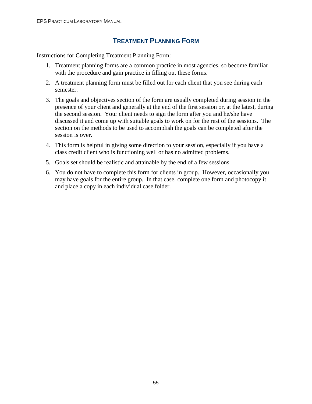# **TREATMENT PLANNING FORM**

Instructions for Completing Treatment Planning Form:

- 1. Treatment planning forms are a common practice in most agencies, so become familiar with the procedure and gain practice in filling out these forms.
- 2. A treatment planning form must be filled out for each client that you see during each semester.
- 3. The goals and objectives section of the form are usually completed during session in the presence of your client and generally at the end of the first session or, at the latest, during the second session. Your client needs to sign the form after you and he/she have discussed it and come up with suitable goals to work on for the rest of the sessions. The section on the methods to be used to accomplish the goals can be completed after the session is over.
- 4. This form is helpful in giving some direction to your session, especially if you have a class credit client who is functioning well or has no admitted problems.
- 5. Goals set should be realistic and attainable by the end of a few sessions.
- 6. You do not have to complete this form for clients in group. However, occasionally you may have goals for the entire group. In that case, complete one form and photocopy it and place a copy in each individual case folder.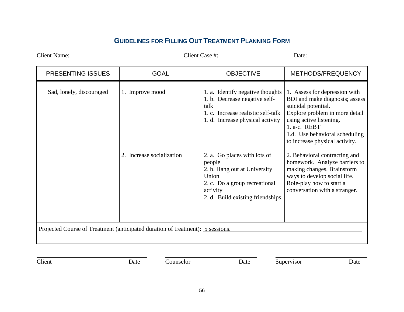# **GUIDELINES FOR FILLING OUT TREATMENT PLANNING FORM**

Client Name: Client Case #: Date: PRESENTING ISSUES | GOAL | OBJECTIVE | METHODS/FREQUENCY Sad, lonely, discouraged 1. Improve mood 2. Increase socialization 1. a. Identify negative thoughts 1. Assess for depression with 1. b. Decrease negative selftalk 1. c. Increase realistic self-talk 1. d. Increase physical activity 2. a. Go places with lots of people 2. b. Hang out at University Union 2. c. Do a group recreational activity 2. d. Build existing friendships BDI and make diagnosis; assess suicidal potential. Explore problem in more detail using active listening. 1. a-c. REBT 1.d. Use behavioral scheduling to increase physical activity. 2. Behavioral contracting and homework. Analyze barriers to making changes. Brainstorm ways to develop social life. Role-play how to start a conversation with a stranger. Projected Course of Treatment (anticipated duration of treatment): 5 sessions.

Client **Date** Date Counselor Date Supervisor Date Date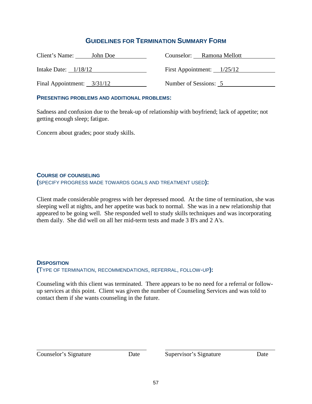## **GUIDELINES FOR TERMINATION SUMMARY FORM**

| Client's Name:<br>John Doe   | Counselor: Ramona Mellott    |
|------------------------------|------------------------------|
| Intake Date: $1/18/12$       | First Appointment: $1/25/12$ |
| Final Appointment: $3/31/12$ | Number of Sessions: 5        |

#### **PRESENTING PROBLEMS AND ADDITIONAL PROBLEMS:**

Sadness and confusion due to the break-up of relationship with boyfriend; lack of appetite; not getting enough sleep; fatigue.

Concern about grades; poor study skills.

#### **COURSE OF COUNSELING**

**(**SPECIFY PROGRESS MADE TOWARDS GOALS AND TREATMENT USED**):** 

Client made considerable progress with her depressed mood. At the time of termination, she was sleeping well at nights, and her appetite was back to normal. She was in a new relationship that appeared to be going well. She responded well to study skills techniques and was incorporating them daily. She did well on all her mid-term tests and made 3 B's and 2 A's.

#### **DISPOSITION**

**(**TYPE OF TERMINATION, RECOMMENDATIONS, REFERRAL, FOLLOW-UP**):** 

Counseling with this client was terminated. There appears to be no need for a referral or followup services at this point. Client was given the number of Counseling Services and was told to contact them if she wants counseling in the future.

 $\overline{a}$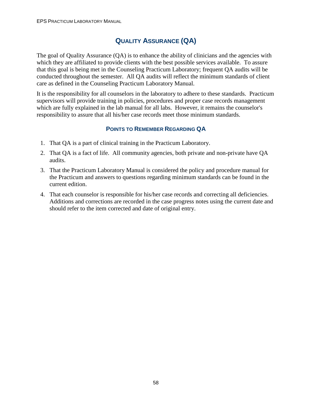# **QUALITY ASSURANCE (QA)**

The goal of Quality Assurance (QA) is to enhance the ability of clinicians and the agencies with which they are affiliated to provide clients with the best possible services available. To assure that this goal is being met in the Counseling Practicum Laboratory; frequent QA audits will be conducted throughout the semester. All QA audits will reflect the minimum standards of client care as defined in the Counseling Practicum Laboratory Manual.

It is the responsibility for all counselors in the laboratory to adhere to these standards. Practicum supervisors will provide training in policies, procedures and proper case records management which are fully explained in the lab manual for all labs. However, it remains the counselor's responsibility to assure that all his/her case records meet those minimum standards.

## **POINTS TO REMEMBER REGARDING QA**

- 1. That QA is a part of clinical training in the Practicum Laboratory.
- 2. That QA is a fact of life. All community agencies, both private and non-private have QA audits.
- 3. That the Practicum Laboratory Manual is considered the policy and procedure manual for the Practicum and answers to questions regarding minimum standards can be found in the current edition.
- 4. That each counselor is responsible for his/her case records and correcting all deficiencies. Additions and corrections are recorded in the case progress notes using the current date and should refer to the item corrected and date of original entry.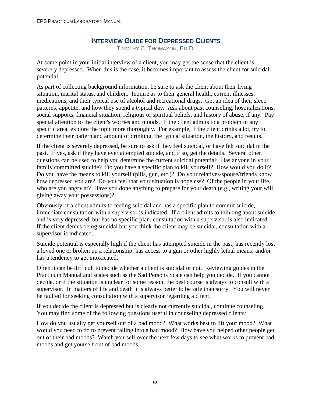## **INTERVIEW GUIDE FOR DEPRESSED CLIENTS**

TIMOTHY C. THOMASON, ED.D.

At some point in your initial interview of a client, you may get the sense that the client is severely depressed. When this is the case, it becomes important to assess the client for suicidal potential.

As part of collecting background information, be sure to ask the client about their living situation, marital status, and children. Inquire as to their general health, current illnesses, medications, and their typical use of alcohol and recreational drugs. Get an idea of their sleep patterns, appetite, and how they spend a typical day. Ask about past counseling, hospitalizations, social supports, financial situation, religious or spiritual beliefs, and history of abuse, if any. Pay special attention to the client's worries and moods. If the client admits to a problem in any specific area, explore the topic more thoroughly. For example, if the client drinks a lot, try to determine their pattern and amount of drinking, the typical situation, the history, and results.

If the client is severely depressed, be sure to ask if they feel suicidal, or have felt suicidal in the past. If yes, ask if they have ever attempted suicide, and if so, get the details. Several other questions can be used to help you determine the current suicidal potential: Has anyone in your family committed suicide? Do you have a specific plan to kill yourself? How would you do it? Do you have the means to kill yourself (pills, gun, etc.)? Do your relatives/spouse/friends know how depressed you are? Do you feel that your situation is hopeless? Of the people in your life, who are you angry at? Have you done anything to prepare for your death (e.g., writing your will, giving away your possessions)?

Obviously, if a client admits to feeling suicidal and has a specific plan to commit suicide, immediate consultation with a supervisor is indicated. If a client admits to thinking about suicide and is very depressed, but has no specific plan, consultation with a supervisor is also indicated. If the client denies being suicidal but you think the client may be suicidal, consultation with a supervisor is indicated.

Suicide potential is especially high if the client has attempted suicide in the past; has recently lost a loved one or broken up a relationship; has access to a gun or other highly lethal means; and/or has a tendency to get intoxicated.

Often it can be difficult to decide whether a client is suicidal or not. Reviewing guides in the Practicum Manual and scales such as the Sad Persons Scale can help you decide. If you cannot decide, or if the situation is unclear for some reason, the best course is always to consult with a supervisor. In matters of life and death it is always better to be safe than sorry. You will never be faulted for seeking consultation with a supervisor regarding a client.

If you decide the client is depressed but is clearly not currently suicidal, continue counseling. You may find some of the following questions useful in counseling depressed clients:

How do you usually get yourself out of a bad mood? What works best to lift your mood? What would you need to do to prevent falling into a bad mood? How have you helped other people get out of their bad moods? Watch yourself over the next few days to see what works to prevent bad moods and get yourself out of bad moods.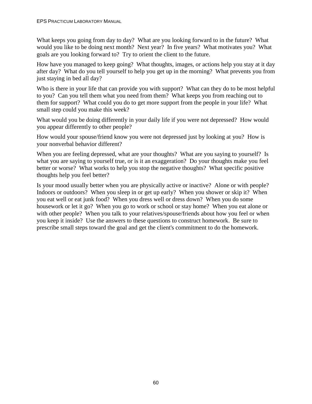What keeps you going from day to day? What are you looking forward to in the future? What would you like to be doing next month? Next year? In five years? What motivates you? What goals are you looking forward to? Try to orient the client to the future.

How have you managed to keep going? What thoughts, images, or actions help you stay at it day after day? What do you tell yourself to help you get up in the morning? What prevents you from just staying in bed all day?

Who is there in your life that can provide you with support? What can they do to be most helpful to you? Can you tell them what you need from them? What keeps you from reaching out to them for support? What could you do to get more support from the people in your life? What small step could you make this week?

What would you be doing differently in your daily life if you were not depressed? How would you appear differently to other people?

How would your spouse/friend know you were not depressed just by looking at you? How is your nonverbal behavior different?

When you are feeling depressed, what are your thoughts? What are you saying to yourself? Is what you are saying to yourself true, or is it an exaggeration? Do your thoughts make you feel better or worse? What works to help you stop the negative thoughts? What specific positive thoughts help you feel better?

Is your mood usually better when you are physically active or inactive? Alone or with people? Indoors or outdoors? When you sleep in or get up early? When you shower or skip it? When you eat well or eat junk food? When you dress well or dress down? When you do some housework or let it go? When you go to work or school or stay home? When you eat alone or with other people? When you talk to your relatives/spouse/friends about how you feel or when you keep it inside? Use the answers to these questions to construct homework. Be sure to prescribe small steps toward the goal and get the client's commitment to do the homework.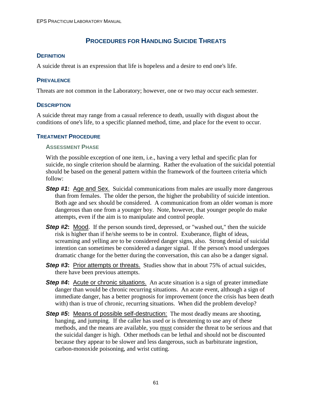# **PROCEDURES FOR HANDLING SUICIDE THREATS**

#### **DEFINITION**

A suicide threat is an expression that life is hopeless and a desire to end one's life.

#### **PREVALENCE**

Threats are not common in the Laboratory; however, one or two may occur each semester.

#### **DESCRIPTION**

A suicide threat may range from a casual reference to death, usually with disgust about the conditions of one's life, to a specific planned method, time, and place for the event to occur.

#### **TREATMENT PROCEDURE**

#### **ASSESSMENT PHASE**

With the possible exception of one item, i.e., having a very lethal and specific plan for suicide, no single criterion should be alarming. Rather the evaluation of the suicidal potential should be based on the general pattern within the framework of the fourteen criteria which follow:

- **Step #1:** Age and Sex. Suicidal communications from males are usually more dangerous than from females. The older the person, the higher the probability of suicide intention. Both age and sex should be considered. A communication from an older woman is more dangerous than one from a younger boy. Note, however, that younger people do make attempts, even if the aim is to manipulate and control people.
- **Step #2:** Mood. If the person sounds tired, depressed, or "washed out," then the suicide risk is higher than if he/she seems to be in control. Exuberance, flight of ideas, screaming and yelling are to be considered danger signs, also. Strong denial of suicidal intention can sometimes be considered a danger signal. If the person's mood undergoes dramatic change for the better during the conversation, this can also be a danger signal.
- **Step #3:** Prior attempts or threats. Studies show that in about 75% of actual suicides, there have been previous attempts.
- **Step #4:** Acute or chronic situations. An acute situation is a sign of greater immediate danger than would be chronic recurring situations. An acute event, although a sign of immediate danger, has a better prognosis for improvement (once the crisis has been death with) than is true of chronic, recurring situations. When did the problem develop?
- **Step #5:** Means of possible self-destruction: The most deadly means are shooting, hanging, and jumping. If the caller has used or is threatening to use any of these methods, and the means are available, you must consider the threat to be serious and that the suicidal danger is high. Other methods can be lethal and should not be discounted because they appear to be slower and less dangerous, such as barbiturate ingestion, carbon-monoxide poisoning, and wrist cutting.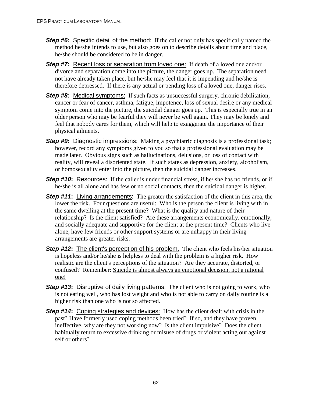- **Step #6:** Specific detail of the method: If the caller not only has specifically named the method he/she intends to use, but also goes on to describe details about time and place, he/she should be considered to be in danger.
- **Step #7:** Recent loss or separation from loved one: If death of a loved one and/or divorce and separation come into the picture, the danger goes up. The separation need not have already taken place, but he/she may feel that it is impending and he/she is therefore depressed. If there is any actual or pending loss of a loved one, danger rises.
- **Step #8:** Medical symptoms: If such facts as unsuccessful surgery, chronic debilitation, cancer or fear of cancer, asthma, fatigue, impotence, loss of sexual desire or any medical symptom come into the picture, the suicidal danger goes up. This is especially true in an older person who may be fearful they will never be well again. They may be lonely and feel that nobody cares for them, which will help to exaggerate the importance of their physical ailments.
- **Step #9:** Diagnostic impressions: Making a psychiatric diagnosis is a professional task; however, record any symptoms given to you so that a professional evaluation may be made later. Obvious signs such as hallucinations, delusions, or loss of contact with reality, will reveal a disoriented state. If such states as depression, anxiety, alcoholism, or homosexuality enter into the picture, then the suicidal danger increases.
- **Step #10:** Resources: If the caller is under financial stress, if he/ she has no friends, or if he/she is all alone and has few or no social contacts, then the suicidal danger is higher.
- **Step #11:** Living arrangements: The greater the satisfaction of the client in this area, the lower the risk. Four questions are useful: Who is the person the client is living with in the same dwelling at the present time? What is the quality and nature of their relationship? Is the client satisfied? Are these arrangements economically, emotionally, and socially adequate and supportive for the client at the present time? Clients who live alone, have few friends or other support systems or are unhappy in their living arrangements are greater risks.
- **Step #12:** The client's perception of his problem. The client who feels his/her situation is hopeless and/or he/she is helpless to deal with the problem is a higher risk. How realistic are the client's perceptions of the situation? Are they accurate, distorted, or confused? Remember: Suicide is almost always an emotional decision, not a rational one!
- **Step #13:** Disruptive of daily living patterns. The client who is not going to work, who is not eating well, who has lost weight and who is not able to carry on daily routine is a higher risk than one who is not so affected.
- **Step #14:** Coping strategies and devices: How has the client dealt with crisis in the past? Have formerly used coping methods been tried? If so, and they have proven ineffective, why are they not working now? Is the client impulsive? Does the client habitually return to excessive drinking or misuse of drugs or violent acting out against self or others?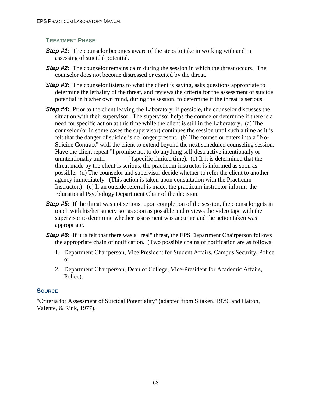#### **TREATMENT PHASE**

- **Step #1:** The counselor becomes aware of the steps to take in working with and in assessing of suicidal potential.
- **Step #2:** The counselor remains calm during the session in which the threat occurs. The counselor does not become distressed or excited by the threat.
- **Step #3:** The counselor listens to what the client is saying, asks questions appropriate to determine the lethality of the threat, and reviews the criteria for the assessment of suicide potential in his/her own mind, during the session, to determine if the threat is serious.
- **Step #4:** Prior to the client leaving the Laboratory, if possible, the counselor discusses the situation with their supervisor. The supervisor helps the counselor determine if there is a need for specific action at this time while the client is still in the Laboratory. (a) The counselor (or in some cases the supervisor) continues the session until such a time as it is felt that the danger of suicide is no longer present. (b) The counselor enters into a "No-Suicide Contract" with the client to extend beyond the next scheduled counseling session. Have the client repeat "I promise not to do anything self-destructive intentionally or unintentionally until \_\_\_\_\_\_\_ "(specific limited time). (c) If it is determined that the  $\Box$  "(specific limited time). (c) If it is determined that the threat made by the client is serious, the practicum instructor is informed as soon as possible. (d) The counselor and supervisor decide whether to refer the client to another agency immediately. (This action is taken upon consultation with the Practicum Instructor.). (e) If an outside referral is made, the practicum instructor informs the Educational Psychology Department Chair of the decision.
- **Step #5:** If the threat was not serious, upon completion of the session, the counselor gets in touch with his/her supervisor as soon as possible and reviews the video tape with the supervisor to determine whether assessment was accurate and the action taken was appropriate.
- **Step #6:** If it is felt that there was a "real" threat, the EPS Department Chairperson follows the appropriate chain of notification. (Two possible chains of notification are as follows:
	- 1. Department Chairperson, Vice President for Student Affairs, Campus Security, Police or
	- 2. Department Chairperson, Dean of College, Vice-President for Academic Affairs, Police).

### **SOURCE**

"Criteria for Assessment of Suicidal Potentiality" (adapted from Sliaken, 1979, and Hatton, Valente, & Rink, 1977).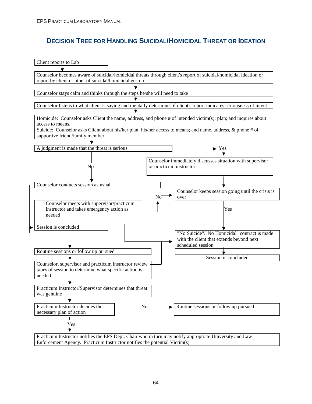# **DECISION TREE FOR HANDLING SUICIDAL/HOMICIDAL THREAT OR IDEATION**

| Client reports to Lab                                                      |                                                                                                                       |
|----------------------------------------------------------------------------|-----------------------------------------------------------------------------------------------------------------------|
|                                                                            |                                                                                                                       |
| report by client or other of suicidal/homicidal gesture.                   | Counselor becomes aware of suicidal/homicidal threats through client's report of suicidal/homicidal ideation or       |
|                                                                            |                                                                                                                       |
| Counselor stays calm and thinks through the steps he/she will need to take |                                                                                                                       |
|                                                                            |                                                                                                                       |
|                                                                            | Counselor listens to what client is saying and mentally determines if client's report indicates seriousness of intent |
|                                                                            |                                                                                                                       |
|                                                                            | Homicide: Counselor asks Client the name, address, and phone # of intended victim(s); plan; and inquires about        |
| access to means.                                                           |                                                                                                                       |
|                                                                            | Suicide: Counselor asks Client about his/her plan; his/her access to means; and name, address, & phone # of           |
| supportive friend/family member.                                           |                                                                                                                       |
|                                                                            |                                                                                                                       |
| A judgment is made that the threat is serious                              | $\blacktriangleright$ Yes                                                                                             |
|                                                                            |                                                                                                                       |
|                                                                            | Counselor immediately discusses situation with supervisor                                                             |
| No                                                                         | or practicum instructor                                                                                               |
|                                                                            |                                                                                                                       |
|                                                                            |                                                                                                                       |
| Counselor conducts session as usual                                        |                                                                                                                       |
|                                                                            | Counselor keeps session going until the crisis is                                                                     |
|                                                                            | No<br>over                                                                                                            |
| Counselor meets with supervisor/practicum                                  |                                                                                                                       |
| instructor and takes emergency action as                                   | Yes                                                                                                                   |
| needed                                                                     |                                                                                                                       |
|                                                                            |                                                                                                                       |
| Session is concluded                                                       |                                                                                                                       |
|                                                                            | "No Suicide"/"No Homicidal" contract is made                                                                          |
|                                                                            | with the client that extends beyond next                                                                              |
|                                                                            | scheduled session                                                                                                     |
| Routine sessions or follow up pursued                                      |                                                                                                                       |
|                                                                            | Session is concluded                                                                                                  |
| Counselor, supervisor and practicum instructor review                      |                                                                                                                       |
| tapes of session to determine what specific action is                      |                                                                                                                       |
| needed                                                                     |                                                                                                                       |
|                                                                            |                                                                                                                       |
| Practicum Instructor/Supervisor determines that threat                     |                                                                                                                       |
| was genuine                                                                |                                                                                                                       |
|                                                                            |                                                                                                                       |
| Practicum Instructor decides the                                           | Routine sessions or follow up pursued<br>No                                                                           |
| necessary plan of action                                                   |                                                                                                                       |
|                                                                            |                                                                                                                       |
| Yes                                                                        |                                                                                                                       |
|                                                                            |                                                                                                                       |
|                                                                            | Practicum Instructor notifies the EPS Dept. Chair who in turn may notify appropriate University and Law               |
| Enforcement Agency. Practicum Instructor notifies the potential Victim(s)  |                                                                                                                       |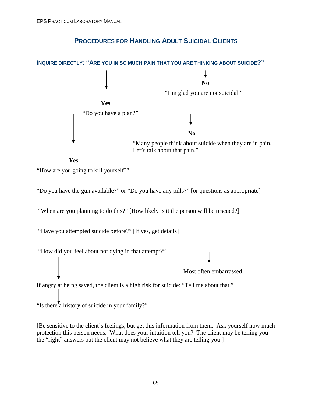# **PROCEDURES FOR HANDLING ADULT SUICIDAL CLIENTS**



**Yes** 

"How are you going to kill yourself?"

"Do you have the gun available?" or "Do you have any pills?" [or questions as appropriate]

"When are you planning to do this?" [How likely is it the person will be rescued?]

"Have you attempted suicide before?" [If yes, get details]

 "How did you feel about not dying in that attempt?" Most often embarrassed.

If angry at being saved, the client is a high risk for suicide: "Tell me about that."

"Is there a history of suicide in your family?"

[Be sensitive to the client's feelings, but get this information from them. Ask yourself how much protection this person needs. What does your intuition tell you? The client may be telling you the "right" answers but the client may not believe what they are telling you.]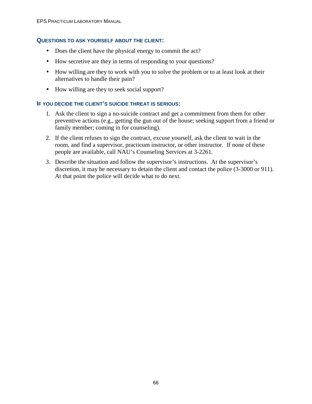#### **QUESTIONS TO ASK YOURSELF ABOUT THE CLIENT:**

- Does the client have the physical energy to commit the act?
- How secretive are they in terms of responding to your questions?
- How willing are they to work with you to solve the problem or to at least look at their alternatives to handle their pain?
- How willing are they to seek social support?

#### **IF YOU DECIDE THE CLIENT'S SUICIDE THREAT IS SERIOUS:**

- 1. Ask the client to sign a no-suicide contract and get a commitment from them for other preventive actions (e.g., getting the gun out of the house; seeking support from a friend or family member; coming in for counseling).
- 2. If the client refuses to sign the contract, excuse yourself, ask the client to wait in the room, and find a supervisor, practicum instructor, or other instructor. If none of these people are available, call NAU's Counseling Services at 3-2261.
- 3. Describe the situation and follow the supervisor's instructions. At the supervisor's discretion, it may be necessary to detain the client and contact the police (3-3000 or 911). At that point the police will decide what to do next.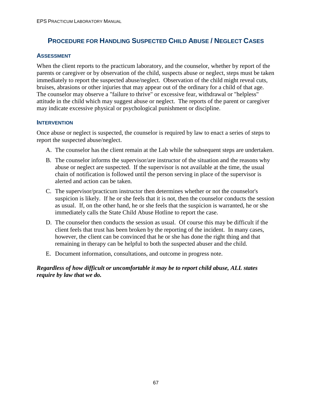# **PROCEDURE FOR HANDLING SUSPECTED CHILD ABUSE / NEGLECT CASES**

### **ASSESSMENT**

When the client reports to the practicum laboratory, and the counselor, whether by report of the parents or caregiver or by observation of the child, suspects abuse or neglect, steps must be taken immediately to report the suspected abuse/neglect. Observation of the child might reveal cuts, bruises, abrasions or other injuries that may appear out of the ordinary for a child of that age. The counselor may observe a "failure to thrive" or excessive fear, withdrawal or "helpless" attitude in the child which may suggest abuse or neglect. The reports of the parent or caregiver may indicate excessive physical or psychological punishment or discipline.

#### **INTERVENTION**

Once abuse or neglect is suspected, the counselor is required by law to enact a series of steps to report the suspected abuse/neglect.

- A. The counselor has the client remain at the Lab while the subsequent steps are undertaken.
- B. The counselor informs the supervisor/are instructor of the situation and the reasons why abuse or neglect are suspected. If the supervisor is not available at the time, the usual chain of notification is followed until the person serving in place of the supervisor is alerted and action can be taken.
- C. The supervisor/practicum instructor then determines whether or not the counselor's suspicion is likely. If he or she feels that it is not, then the counselor conducts the session as usual. If, on the other hand, he or she feels that the suspicion is warranted, he or she immediately calls the State Child Abuse Hotline to report the case.
- D. The counselor then conducts the session as usual. Of course this may be difficult if the client feels that trust has been broken by the reporting of the incident. In many cases, however, the client can be convinced that he or she has done the right thing and that remaining in therapy can be helpful to both the suspected abuser and the child.
- E. Document information, consultations, and outcome in progress note.

### *Regardless of how difficult or uncomfortable it may be to report child abuse, ALL states require by law that we do.*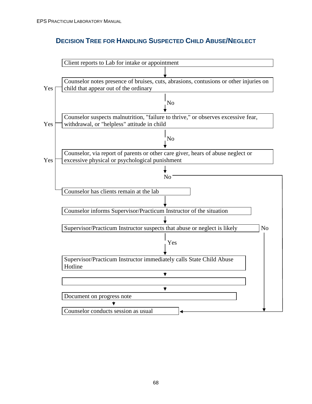# **DECISION TREE FOR HANDLING SUSPECTED CHILD ABUSE/NEGLECT**

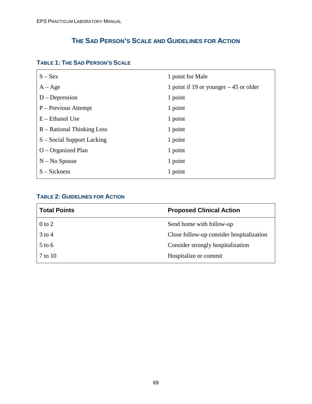# **THE SAD PERSON'S SCALE AND GUIDELINES FOR ACTION**

| $S - Sex$                    | 1 point for Male                        |
|------------------------------|-----------------------------------------|
| $A - Age$                    | 1 point if 19 or younger $-45$ or older |
| $D$ – Depression             | 1 point                                 |
| $P -$ Previous Attempt       | 1 point                                 |
| $E$ – Ethanol Use            | 1 point                                 |
| $R -$ Rational Thinking Loss | 1 point                                 |
| S – Social Support Lacking   | 1 point                                 |
| $O$ – Organized Plan         | 1 point                                 |
| $N - No Spouse$              | 1 point                                 |
| $S - Sickness$               | 1 point                                 |
|                              |                                         |

## **TABLE 1: THE SAD PERSON'S SCALE**

## **TABLE 2: GUIDELINES FOR ACTION**

| <b>Total Points</b> | <b>Proposed Clinical Action</b>          |
|---------------------|------------------------------------------|
| $0$ to $2$          | Send home with follow-up                 |
| $3$ to 4            | Close follow-up consider hospitalization |
| $5$ to 6            | Consider strongly hospitalization        |
| 7 to 10             | Hospitalize or commit                    |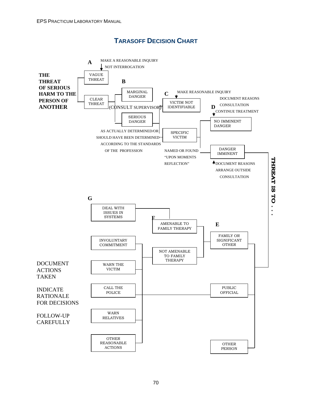# **TARASOFF DECISION CHART**

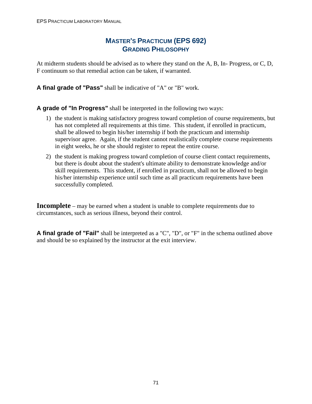## **MASTER'S PRACTICUM (EPS 692) GRADING PHILOSOPHY**

At midterm students should be advised as to where they stand on the A, B, In- Progress, or C, D, F continuum so that remedial action can be taken, if warranted.

**A final grade of "Pass"** shall be indicative of "A" or "B" work.

**A grade of "In Progress"** shall be interpreted in the following two ways:

- 1) the student is making satisfactory progress toward completion of course requirements, but has not completed all requirements at this time. This student, if enrolled in practicum, shall be allowed to begin his/her internship if both the practicum and internship supervisor agree. Again, if the student cannot realistically complete course requirements in eight weeks, he or she should register to repeat the entire course.
- 2) the student is making progress toward completion of course client contact requirements, but there is doubt about the student's ultimate ability to demonstrate knowledge and/or skill requirements. This student, if enrolled in practicum, shall not be allowed to begin his/her internship experience until such time as all practicum requirements have been successfully completed.

**Incomplete** – may be earned when a student is unable to complete requirements due to circumstances, such as serious illness, beyond their control.

**A final grade of "Fail"** shall be interpreted as a "C", "D", or "F" in the schema outlined above and should be so explained by the instructor at the exit interview.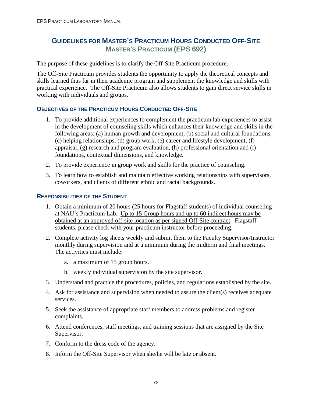# **GUIDELINES FOR MASTER'S PRACTICUM HOURS CONDUCTED OFF-SITE MASTER'S PRACTICUM (EPS 692)**

The purpose of these guidelines is to clarify the Off-Site Practicum procedure.

The Off-Site Practicum provides students the opportunity to apply the theoretical concepts and skills learned thus far in their academic program and supplement the knowledge and skills with practical experience. The Off-Site Practicum also allows students to gain direct service skills in working with individuals and groups.

## **OBJECTIVES OF THE PRACTICUM HOURS CONDUCTED OFF-SITE**

- 1. To provide additional experiences to complement the practicum lab experiences to assist in the development of counseling skills which enhances their knowledge and skills in the following areas: (a) human growth and development, (b) social and cultural foundations, (c) helping relationships, (d) group work, (e) career and lifestyle development, (f) appraisal, (g) research and program evaluation, (h) professional orientation and (i) foundations, contextual dimensions, and knowledge.
- 2. To provide experience in group work and skills for the practice of counseling.
- 3. To learn how to establish and maintain effective working relationships with supervisors, coworkers, and clients of different ethnic and racial backgrounds.

### **RESPONSIBILITIES OF THE STUDENT**

- 1. Obtain a minimum of 20 hours (25 hours for Flagstaff students) of individual counseling at NAU's Practicum Lab. Up to 15 Group hours and up to 60 indirect hours may be obtained at an approved off-site location as per signed Off-Site contract. Flagstaff students, please check with your practicum instructor before proceeding.
- 2. Complete activity log sheets weekly and submit them to the Faculty Supervisor/Instructor monthly during supervision and at a minimum during the midterm and final meetings. The activities must include:
	- a. a maximum of 15 group hours.
	- b. weekly individual supervision by the site supervisor.
- 3. Understand and practice the procedures, policies, and regulations established by the site.
- 4. Ask for assistance and supervision when needed to assure the client(s) receives adequate services.
- 5. Seek the assistance of appropriate staff members to address problems and register complaints.
- 6. Attend conferences, staff meetings, and training sessions that are assigned by the Site Supervisor.
- 7. Conform to the dress code of the agency.
- 8. Inform the Off-Site Supervisor when she/he will be late or absent.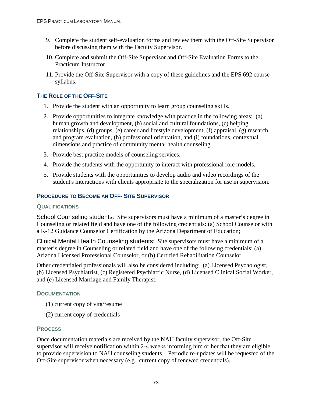- 9. Complete the student self-evaluation forms and review them with the Off-Site Supervisor before discussing them with the Faculty Supervisor.
- 10. Complete and submit the Off-Site Supervisor and Off-Site Evaluation Forms to the Practicum Instructor.
- 11. Provide the Off-Site Supervisor with a copy of these guidelines and the EPS 692 course syllabus.

## **THE ROLE OF THE OFF-SITE**

- 1. Provide the student with an opportunity to learn group counseling skills.
- 2. Provide opportunities to integrate knowledge with practice in the following areas: (a) human growth and development, (b) social and cultural foundations, (c) helping relationships, (d) groups, (e) career and lifestyle development, (f) appraisal, (g) research and program evaluation, (h) professional orientation, and (i) foundations, contextual dimensions and practice of community mental health counseling.
- 3. Provide best practice models of counseling services.
- 4. Provide the students with the opportunity to interact with professional role models.
- 5. Provide students with the opportunities to develop audio and video recordings of the student's interactions with clients appropriate to the specialization for use in supervision.

## **PROCEDURE TO BECOME AN OFF- SITE SUPERVISOR**

#### **QUALIFICATIONS**

School Counseling students: Site supervisors must have a minimum of a master's degree in Counseling or related field and have one of the following credentials: (a) School Counselor with a K-12 Guidance Counselor Certification by the Arizona Department of Education;

Clinical Mental Health Counseling students: Site supervisors must have a minimum of a master's degree in Counseling or related field and have one of the following credentials: (a) Arizona Licensed Professional Counselor, or (b) Certified Rehabilitation Counselor.

Other credentialed professionals will also be considered including: (a) Licensed Psychologist, (b) Licensed Psychiatrist, (c) Registered Psychiatric Nurse, (d) Licensed Clinical Social Worker, and (e) Licensed Marriage and Family Therapist.

## **DOCUMENTATION**

- (1) current copy of vita/resume
- (2) current copy of credentials

## **PROCESS**

Once documentation materials are received by the NAU faculty supervisor, the Off-Site supervisor will receive notification within 2-4 weeks informing him or her that they are eligible to provide supervision to NAU counseling students. Periodic re-updates will be requested of the Off-Site supervisor when necessary (e.g., current copy of renewed credentials).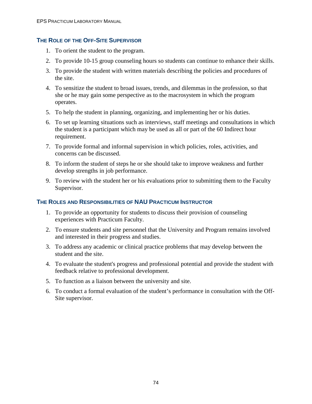### **THE ROLE OF THE OFF-SITE SUPERVISOR**

- 1. To orient the student to the program.
- 2. To provide 10-15 group counseling hours so students can continue to enhance their skills.
- 3. To provide the student with written materials describing the policies and procedures of the site.
- 4. To sensitize the student to broad issues, trends, and dilemmas in the profession, so that she or he may gain some perspective as to the macrosystem in which the program operates.
- 5. To help the student in planning, organizing, and implementing her or his duties.
- 6. To set up learning situations such as interviews, staff meetings and consultations in which the student is a participant which may be used as all or part of the 60 Indirect hour requirement.
- 7. To provide formal and informal supervision in which policies, roles, activities, and concerns can be discussed.
- 8. To inform the student of steps he or she should take to improve weakness and further develop strengths in job performance.
- 9. To review with the student her or his evaluations prior to submitting them to the Faculty Supervisor.

#### **THE ROLES AND RESPONSIBILITIES OF NAU PRACTICUM INSTRUCTOR**

- 1. To provide an opportunity for students to discuss their provision of counseling experiences with Practicum Faculty.
- 2. To ensure students and site personnel that the University and Program remains involved and interested in their progress and studies.
- 3. To address any academic or clinical practice problems that may develop between the student and the site.
- 4. To evaluate the student's progress and professional potential and provide the student with feedback relative to professional development.
- 5. To function as a liaison between the university and site.
- 6. To conduct a formal evaluation of the student's performance in consultation with the Off-Site supervisor.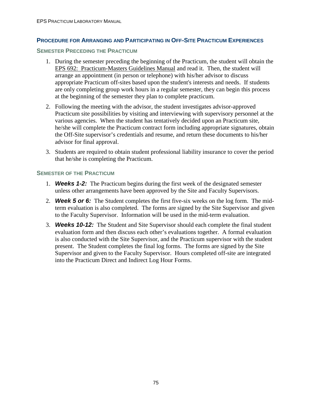### **PROCEDURE FOR ARRANGING AND PARTICIPATING IN OFF-SITE PRACTICUM EXPERIENCES**

#### **SEMESTER PRECEDING THE PRACTICUM**

- 1. During the semester preceding the beginning of the Practicum, the student will obtain the EPS 692: Practicum-Masters Guidelines Manual and read it. Then, the student will arrange an appointment (in person or telephone) with his/her advisor to discuss appropriate Practicum off-sites based upon the student's interests and needs. If students are only completing group work hours in a regular semester, they can begin this process at the beginning of the semester they plan to complete practicum.
- 2. Following the meeting with the advisor, the student investigates advisor-approved Practicum site possibilities by visiting and interviewing with supervisory personnel at the various agencies. When the student has tentatively decided upon an Practicum site, he/she will complete the Practicum contract form including appropriate signatures, obtain the Off-Site supervisor's credentials and resume, and return these documents to his/her advisor for final approval.
- 3. Students are required to obtain student professional liability insurance to cover the period that he/she is completing the Practicum.

#### **SEMESTER OF THE PRACTICUM**

- 1. **Weeks 1-2:**The Practicum begins during the first week of the designated semester unless other arrangements have been approved by the Site and Faculty Supervisors.
- 2. **Week 5 or 6:**The Student completes the first five-six weeks on the log form. The midterm evaluation is also completed. The forms are signed by the Site Supervisor and given to the Faculty Supervisor. Information will be used in the mid-term evaluation.
- 3. **Weeks 10-12:**The Student and Site Supervisor should each complete the final student evaluation form and then discuss each other's evaluations together. A formal evaluation is also conducted with the Site Supervisor, and the Practicum supervisor with the student present. The Student completes the final log forms. The forms are signed by the Site Supervisor and given to the Faculty Supervisor. Hours completed off-site are integrated into the Practicum Direct and Indirect Log Hour Forms.